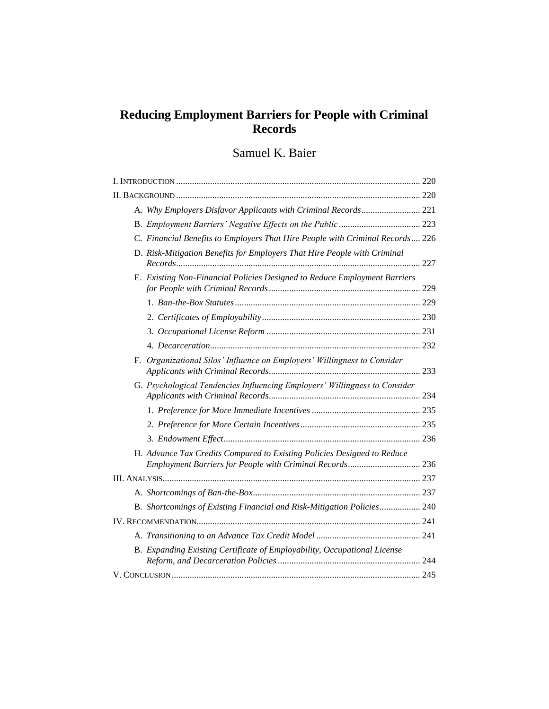## **Reducing Employment Barriers for People with Criminal Records**

# Samuel K. Baier

|  | A. Why Employers Disfavor Applicants with Criminal Records 221                                                                      |  |
|--|-------------------------------------------------------------------------------------------------------------------------------------|--|
|  |                                                                                                                                     |  |
|  | C. Financial Benefits to Employers That Hire People with Criminal Records 226                                                       |  |
|  | D. Risk-Mitigation Benefits for Employers That Hire People with Criminal                                                            |  |
|  | E. Existing Non-Financial Policies Designed to Reduce Employment Barriers                                                           |  |
|  |                                                                                                                                     |  |
|  |                                                                                                                                     |  |
|  |                                                                                                                                     |  |
|  |                                                                                                                                     |  |
|  | F. Organizational Silos' Influence on Employers' Willingness to Consider                                                            |  |
|  | G. Psychological Tendencies Influencing Employers' Willingness to Consider                                                          |  |
|  |                                                                                                                                     |  |
|  |                                                                                                                                     |  |
|  |                                                                                                                                     |  |
|  | H. Advance Tax Credits Compared to Existing Policies Designed to Reduce<br>Employment Barriers for People with Criminal Records 236 |  |
|  |                                                                                                                                     |  |
|  |                                                                                                                                     |  |
|  | B. Shortcomings of Existing Financial and Risk-Mitigation Policies 240                                                              |  |
|  |                                                                                                                                     |  |
|  |                                                                                                                                     |  |
|  | B. Expanding Existing Certificate of Employability, Occupational License                                                            |  |
|  |                                                                                                                                     |  |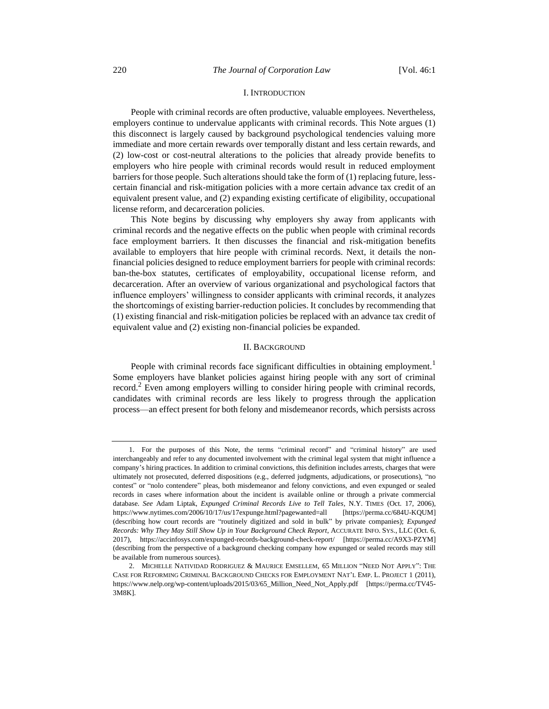## I. INTRODUCTION

People with criminal records are often productive, valuable employees. Nevertheless, employers continue to undervalue applicants with criminal records. This Note argues (1) this disconnect is largely caused by background psychological tendencies valuing more immediate and more certain rewards over temporally distant and less certain rewards, and (2) low-cost or cost-neutral alterations to the policies that already provide benefits to employers who hire people with criminal records would result in reduced employment barriers for those people. Such alterations should take the form of (1) replacing future, lesscertain financial and risk-mitigation policies with a more certain advance tax credit of an equivalent present value, and (2) expanding existing certificate of eligibility, occupational license reform, and decarceration policies.

This Note begins by discussing why employers shy away from applicants with criminal records and the negative effects on the public when people with criminal records face employment barriers. It then discusses the financial and risk-mitigation benefits available to employers that hire people with criminal records. Next, it details the nonfinancial policies designed to reduce employment barriers for people with criminal records: ban-the-box statutes, certificates of employability, occupational license reform, and decarceration. After an overview of various organizational and psychological factors that influence employers' willingness to consider applicants with criminal records, it analyzes the shortcomings of existing barrier-reduction policies. It concludes by recommending that (1) existing financial and risk-mitigation policies be replaced with an advance tax credit of equivalent value and (2) existing non-financial policies be expanded.

#### II. BACKGROUND

People with criminal records face significant difficulties in obtaining employment.<sup>1</sup> Some employers have blanket policies against hiring people with any sort of criminal record.<sup>2</sup> Even among employers willing to consider hiring people with criminal records, candidates with criminal records are less likely to progress through the application process—an effect present for both felony and misdemeanor records, which persists across

<sup>1.</sup> For the purposes of this Note, the terms "criminal record" and "criminal history" are used interchangeably and refer to any documented involvement with the criminal legal system that might influence a company's hiring practices. In addition to criminal convictions, this definition includes arrests, charges that were ultimately not prosecuted, deferred dispositions (e.g., deferred judgments, adjudications, or prosecutions), "no contest" or "nolo contendere" pleas, both misdemeanor and felony convictions, and even expunged or sealed records in cases where information about the incident is available online or through a private commercial database. *See* Adam Liptak, *Expunged Criminal Records Live to Tell Tales*, N.Y. TIMES (Oct. 17, 2006), https://www.nytimes.com/2006/10/17/us/17expunge.html?pagewanted=all [https://perma.cc/684U-KQUM] (describing how court records are "routinely digitized and sold in bulk" by private companies); *Expunged Records: Why They May Still Show Up in Your Background Check Report*, ACCURATE INFO. SYS., LLC (Oct. 6, 2017), https://accinfosys.com/expunged-records-background-check-report/ [https://perma.cc/A9X3-PZYM] (describing from the perspective of a background checking company how expunged or sealed records may still be available from numerous sources).

<sup>2.</sup> MICHELLE NATIVIDAD RODRIGUEZ & MAURICE EMSELLEM, 65 MILLION "NEED NOT APPLY": THE CASE FOR REFORMING CRIMINAL BACKGROUND CHECKS FOR EMPLOYMENT NAT'L EMP. L. PROJECT 1 (2011), https://www.nelp.org/wp-content/uploads/2015/03/65\_Million\_Need\_Not\_Apply.pdf [https://perma.cc/TV45- 3M8K].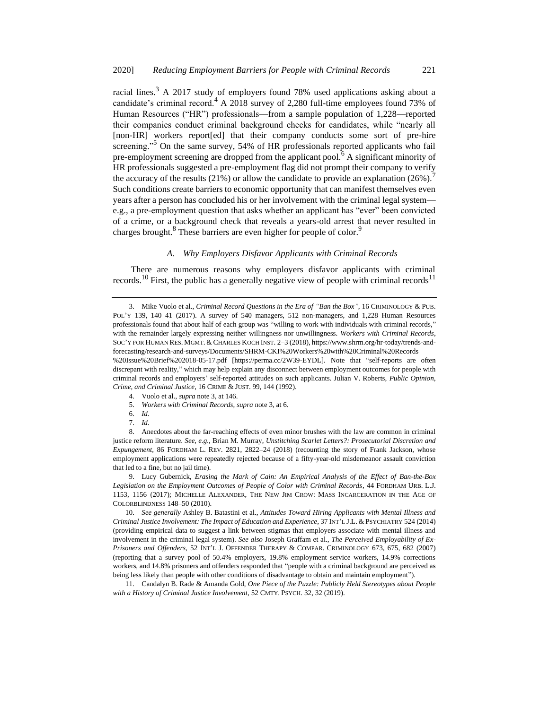<span id="page-2-0"></span>racial lines.<sup>3</sup> A 2017 study of employers found 78% used applications asking about a candidate's criminal record.<sup>4</sup> A 2018 survey of 2,280 full-time employees found 73% of Human Resources ("HR") professionals—from a sample population of 1,228—reported their companies conduct criminal background checks for candidates, while "nearly all [non-HR] workers report[ed] that their company conducts some sort of pre-hire screening."<sup>5</sup> On the same survey,  $54\%$  of HR professionals reported applicants who fail pre-employment screening are dropped from the applicant pool.<sup>6</sup> A significant minority of HR professionals suggested a pre-employment flag did not prompt their company to verify the accuracy of the results  $(21\%)$  or allow the candidate to provide an explanation  $(26\%)$ . Such conditions create barriers to economic opportunity that can manifest themselves even years after a person has concluded his or her involvement with the criminal legal system e.g., a pre-employment question that asks whether an applicant has "ever" been convicted of a crime, or a background check that reveals a years-old arrest that never resulted in charges brought.<sup>8</sup> These barriers are even higher for people of color.<sup>9</sup>

## <span id="page-2-1"></span>*A. Why Employers Disfavor Applicants with Criminal Records*

There are numerous reasons why employers disfavor applicants with criminal records.<sup>10</sup> First, the public has a generally negative view of people with criminal records<sup>11</sup>

- 5. *Workers with Criminal Records*, *supra* not[e 3,](#page-2-0) at 6.
- 6. *Id.*
- 7. *Id.*

8. Anecdotes about the far-reaching effects of even minor brushes with the law are common in criminal justice reform literature. *See, e.g.*, Brian M. Murray, *Unstitching Scarlet Letters?: Prosecutorial Discretion and Expungement*, 86 FORDHAM L. REV. 2821, 2822–24 (2018) (recounting the story of Frank Jackson, whose employment applications were repeatedly rejected because of a fifty-year-old misdemeanor assault conviction that led to a fine, but no jail time).

9. Lucy Gubernick, *Erasing the Mark of Cain: An Empirical Analysis of the Effect of Ban-the-Box Legislation on the Employment Outcomes of People of Color with Criminal Records*, 44 FORDHAM URB. L.J. 1153, 1156 (2017); MICHELLE ALEXANDER, THE NEW JIM CROW: MASS INCARCERATION IN THE AGE OF COLORBLINDNESS 148–50 (2010).

10. *See generally* Ashley B. Batastini et al., *Attitudes Toward Hiring Applicants with Mental Illness and Criminal Justice Involvement: The Impact of Education and Experience*, 37 INT'L J.L. & PSYCHIATRY 524 (2014) (providing empirical data to suggest a link between stigmas that employers associate with mental illness and involvement in the criminal legal system). *See also* Joseph Graffam et al., *The Perceived Employability of Ex-Prisoners and Offenders*, 52 INT'L J. OFFENDER THERAPY & COMPAR. CRIMINOLOGY 673, 675, 682 (2007) (reporting that a survey pool of 50.4% employers, 19.8% employment service workers, 14.9% corrections workers, and 14.8% prisoners and offenders responded that "people with a criminal background are perceived as being less likely than people with other conditions of disadvantage to obtain and maintain employment").

11. Candalyn B. Rade & Amanda Gold, *One Piece of the Puzzle: Publicly Held Stereotypes about People with a History of Criminal Justice Involvement*, 52 CMTY. PSYCH. 32, 32 (2019).

<sup>3.</sup> Mike Vuolo et al., *Criminal Record Questions in the Era of "Ban the Box"*, 16 CRIMINOLOGY & PUB. POL'Y 139, 140–41 (2017). A survey of 540 managers, 512 non-managers, and 1,228 Human Resources professionals found that about half of each group was "willing to work with individuals with criminal records," with the remainder largely expressing neither willingness nor unwillingness. *Workers with Criminal Records*, SOC'Y FOR HUMAN RES. MGMT. &CHARLES KOCH INST. 2–3 (2018), https://www.shrm.org/hr-today/trends-andforecasting/research-and-surveys/Documents/SHRM-CKI%20Workers%20with%20Criminal%20Records %20Issue%20Brief%202018-05-17.pdf [https://perma.cc/2W39-EYDL]. Note that "self-reports are often discrepant with reality," which may help explain any disconnect between employment outcomes for people with criminal records and employers' self-reported attitudes on such applicants. Julian V. Roberts, *Public Opinion,* 

*Crime, and Criminal Justice*, 16 CRIME & JUST. 99, 144 (1992). 4. Vuolo et al., *supra* not[e 3,](#page-2-0) at 146.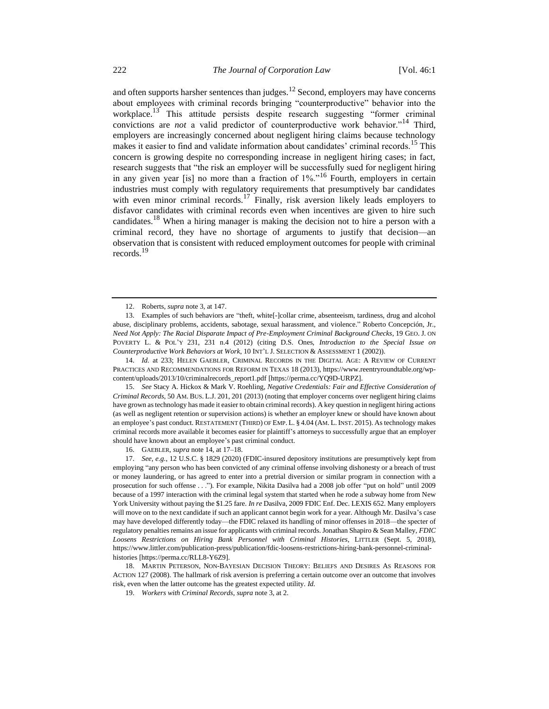<span id="page-3-2"></span><span id="page-3-1"></span><span id="page-3-0"></span>and often supports harsher sentences than judges.<sup>12</sup> Second, employers may have concerns about employees with criminal records bringing "counterproductive" behavior into the workplace.<sup>13</sup> This attitude persists despite research suggesting "former criminal convictions are *not* a valid predictor of counterproductive work behavior."<sup>14</sup> Third, employers are increasingly concerned about negligent hiring claims because technology makes it easier to find and validate information about candidates' criminal records.<sup>15</sup> This concern is growing despite no corresponding increase in negligent hiring cases; in fact, research suggests that "the risk an employer will be successfully sued for negligent hiring in any given year [is] no more than a fraction of 1%."<sup>16</sup> Fourth, employers in certain industries must comply with regulatory requirements that presumptively bar candidates with even minor criminal records.<sup>17</sup> Finally, risk aversion likely leads employers to disfavor candidates with criminal records even when incentives are given to hire such candidates.<sup>18</sup> When a hiring manager is making the decision not to hire a person with a criminal record, they have no shortage of arguments to justify that decision—an observation that is consistent with reduced employment outcomes for people with criminal records.<sup>19</sup>

14. *Id.* at 233; HELEN GAEBLER, CRIMINAL RECORDS IN THE DIGITAL AGE: A REVIEW OF CURRENT PRACTICES AND RECOMMENDATIONS FOR REFORM IN TEXAS 18 (2013), https://www.reentryroundtable.org/wpcontent/uploads/2013/10/criminalrecords\_report1.pdf [https://perma.cc/YQ9D-URPZ].

15. *See* Stacy A. Hickox & Mark V. Roehling, *Negative Credentials: Fair and Effective Consideration of Criminal Records*, 50 AM. BUS. L.J. 201, 201 (2013) (noting that employer concerns over negligent hiring claims have grown as technology has made it easier to obtain criminal records). A key question in negligent hiring actions (as well as negligent retention or supervision actions) is whether an employer knew or should have known about an employee's past conduct. RESTATEMENT (THIRD) OF EMP. L. § 4.04 (AM. L. INST. 2015). As technology makes criminal records more available it becomes easier for plaintiff's attorneys to successfully argue that an employer should have known about an employee's past criminal conduct.

16. GAEBLER, *supra* not[e 14,](#page-3-0) at 17–18.

17. *See, e.g.*, 12 U.S.C. § 1829 (2020) (FDIC-insured depository institutions are presumptively kept from employing "any person who has been convicted of any criminal offense involving dishonesty or a breach of trust or money laundering, or has agreed to enter into a pretrial diversion or similar program in connection with a prosecution for such offense . . ."). For example, Nikita Dasilva had a 2008 job offer "put on hold" until 2009 because of a 1997 interaction with the criminal legal system that started when he rode a subway home from New York University without paying the \$1.25 fare. *In re* Dasilva, 2009 FDIC Enf. Dec. LEXIS 652. Many employers will move on to the next candidate if such an applicant cannot begin work for a year. Although Mr. Dasilva's case may have developed differently today—the FDIC relaxed its handling of minor offenses in 2018—the specter of regulatory penalties remains an issue for applicants with criminal records. Jonathan Shapiro & Sean Malley, *FDIC Loosens Restrictions on Hiring Bank Personnel with Criminal Histories*, LITTLER (Sept. 5, 2018), https://www.littler.com/publication-press/publication/fdic-loosens-restrictions-hiring-bank-personnel-criminalhistories [https://perma.cc/RLL8-Y6Z9].

18. MARTIN PETERSON, NON-BAYESIAN DECISION THEORY: BELIEFS AND DESIRES AS REASONS FOR ACTION 127 (2008). The hallmark of risk aversion is preferring a certain outcome over an outcome that involves risk, even when the latter outcome has the greatest expected utility. *Id.*

19. *Workers with Criminal Records*, *supra* not[e 3,](#page-2-0) at 2.

<span id="page-3-3"></span><sup>12.</sup> Roberts, *supra* not[e 3,](#page-2-0) at 147.

<sup>13.</sup> Examples of such behaviors are "theft, white[-]collar crime, absenteeism, tardiness, drug and alcohol abuse, disciplinary problems, accidents, sabotage, sexual harassment, and violence." Roberto Concepción, Jr., *Need Not Apply: The Racial Disparate Impact of Pre-Employment Criminal Background Checks*, 19 GEO. J. ON POVERTY L. & POL'Y 231, 231 n.4 (2012) (citing D.S. Ones, *Introduction to the Special Issue on Counterproductive Work Behaviors at Work*, 10 INT'L J. SELECTION & ASSESSMENT 1 (2002)).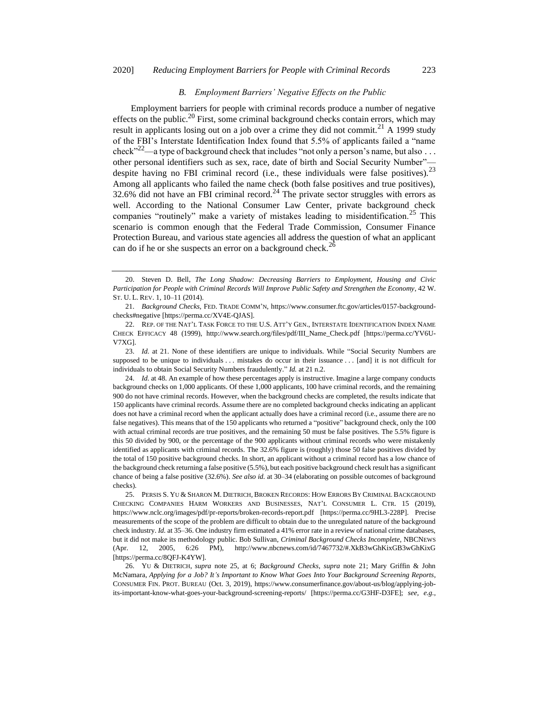## <span id="page-4-1"></span><span id="page-4-0"></span>*B. Employment Barriers' Negative Effects on the Public*

Employment barriers for people with criminal records produce a number of negative effects on the public.<sup>20</sup> First, some criminal background checks contain errors, which may result in applicants losing out on a job over a crime they did not commit.<sup>21</sup> A 1999 study of the FBI's Interstate Identification Index found that 5.5% of applicants failed a "name check"<sup>22</sup>—a type of background check that includes "not only a person's name, but also ... other personal identifiers such as sex, race, date of birth and Social Security Number" despite having no FBI criminal record (i.e., these individuals were false positives).<sup>23</sup> Among all applicants who failed the name check (both false positives and true positives),  $32.6\%$  did not have an FBI criminal record.<sup>24</sup> The private sector struggles with errors as well. According to the National Consumer Law Center, private background check companies "routinely" make a variety of mistakes leading to misidentification.<sup>25</sup> This scenario is common enough that the Federal Trade Commission, Consumer Finance Protection Bureau, and various state agencies all address the question of what an applicant can do if he or she suspects an error on a background check.<sup>26</sup>

<sup>20.</sup> Steven D. Bell, *The Long Shadow: Decreasing Barriers to Employment, Housing and Civic Participation for People with Criminal Records Will Improve Public Safety and Strengthen the Economy*, 42 W. ST. U. L. REV. 1, 10–11 (2014).

<sup>21.</sup> *Background Checks*, FED. TRADE COMM'N, https://www.consumer.ftc.gov/articles/0157-backgroundchecks#negative [https://perma.cc/XV4E-QJAS].

<sup>22.</sup> REP. OF THE NAT'L TASK FORCE TO THE U.S. ATT'Y GEN., INTERSTATE IDENTIFICATION INDEX NAME CHECK EFFICACY 48 (1999), http://www.search.org/files/pdf/III\_Name\_Check.pdf [https://perma.cc/YV6U-V7XG].

<sup>23.</sup> *Id.* at 21. None of these identifiers are unique to individuals. While "Social Security Numbers are supposed to be unique to individuals ... mistakes do occur in their issuance ... [and] it is not difficult for individuals to obtain Social Security Numbers fraudulently." *Id.* at 21 n.2.

<sup>24.</sup> *Id.* at 48. An example of how these percentages apply is instructive. Imagine a large company conducts background checks on 1,000 applicants. Of these 1,000 applicants, 100 have criminal records, and the remaining 900 do not have criminal records. However, when the background checks are completed, the results indicate that 150 applicants have criminal records. Assume there are no completed background checks indicating an applicant does not have a criminal record when the applicant actually does have a criminal record (i.e., assume there are no false negatives). This means that of the 150 applicants who returned a "positive" background check, only the 100 with actual criminal records are true positives, and the remaining 50 must be false positives. The 5.5% figure is this 50 divided by 900, or the percentage of the 900 applicants without criminal records who were mistakenly identified as applicants with criminal records. The 32.6% figure is (roughly) those 50 false positives divided by the total of 150 positive background checks. In short, an applicant without a criminal record has a low chance of the background check returning a false positive (5.5%), but each positive background check result has a significant chance of being a false positive (32.6%). *See also id.* at 30–34 (elaborating on possible outcomes of background checks).

<sup>25.</sup> PERSIS S. YU & SHARON M. DIETRICH, BROKEN RECORDS: HOW ERRORS BY CRIMINAL BACKGROUND CHECKING COMPANIES HARM WORKERS AND BUSINESSES, NAT'L CONSUMER L. CTR. 15 (2019), https://www.nclc.org/images/pdf/pr-reports/broken-records-report.pdf [https://perma.cc/9HL3-228P]. Precise measurements of the scope of the problem are difficult to obtain due to the unregulated nature of the background check industry. *Id.* at 35–36. One industry firm estimated a 41% error rate in a review of national crime databases, but it did not make its methodology public. Bob Sullivan, *Criminal Background Checks Incomplete*, NBCNEWS (Apr. 12, 2005, 6:26 PM), http://www.nbcnews.com/id/7467732/#.XkB3wGhKixGB3wGhKixG [https://perma.cc/8QFJ-K4YW].

<sup>26.</sup> YU & DIETRICH, *supra* note [25,](#page-4-0) at 6; *Background Checks*, *supra* note [21;](#page-4-1) Mary Griffin & John McNamara, *Applying for a Job? It's Important to Know What Goes Into Your Background Screening Reports*, CONSUMER FIN. PROT. BUREAU (Oct. 3, 2019), https://www.consumerfinance.gov/about-us/blog/applying-jobits-important-know-what-goes-your-background-screening-reports/ [https://perma.cc/G3HF-D3FE]; *see, e.g.*,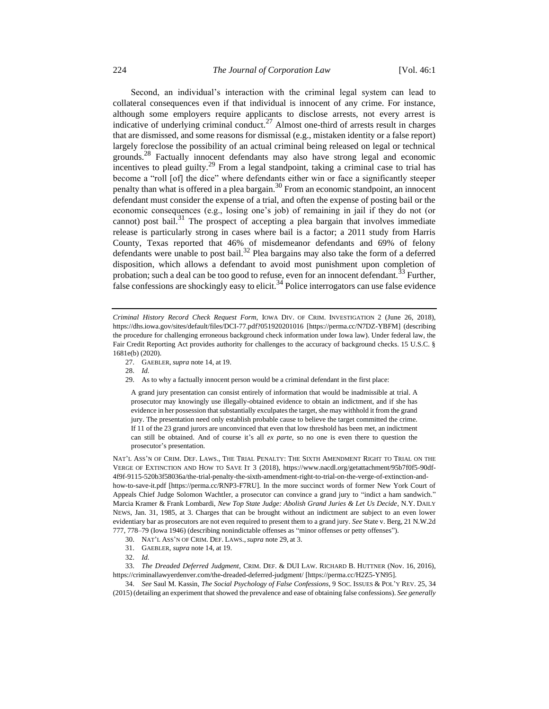<span id="page-5-0"></span>Second, an individual's interaction with the criminal legal system can lead to collateral consequences even if that individual is innocent of any crime. For instance, although some employers require applicants to disclose arrests, not every arrest is indicative of underlying criminal conduct.<sup>27</sup> Almost one-third of arrests result in charges that are dismissed, and some reasons for dismissal (e.g., mistaken identity or a false report) largely foreclose the possibility of an actual criminal being released on legal or technical grounds.<sup>28</sup> Factually innocent defendants may also have strong legal and economic incentives to plead guilty.<sup>29</sup> From a legal standpoint, taking a criminal case to trial has become a "roll [of] the dice" where defendants either win or face a significantly steeper penalty than what is offered in a plea bargain.<sup>30</sup> From an economic standpoint, an innocent defendant must consider the expense of a trial, and often the expense of posting bail or the economic consequences (e.g., losing one's job) of remaining in jail if they do not (or cannot) post bail.<sup>31</sup> The prospect of accepting a plea bargain that involves immediate release is particularly strong in cases where bail is a factor; a 2011 study from Harris County, Texas reported that 46% of misdemeanor defendants and 69% of felony defendants were unable to post bail.<sup>32</sup> Plea bargains may also take the form of a deferred disposition, which allows a defendant to avoid most punishment upon completion of probation; such a deal can be too good to refuse, even for an innocent defendant.<sup>33</sup> Further, false confessions are shockingly easy to elicit.<sup>34</sup> Police interrogators can use false evidence

29. As to why a factually innocent person would be a criminal defendant in the first place:

A grand jury presentation can consist entirely of information that would be inadmissible at trial. A prosecutor may knowingly use illegally-obtained evidence to obtain an indictment, and if she has evidence in her possession that substantially exculpates the target, she may withhold it from the grand jury. The presentation need only establish probable cause to believe the target committed the crime. If 11 of the 23 grand jurors are unconvinced that even that low threshold has been met, an indictment can still be obtained. And of course it's all *ex parte*, so no one is even there to question the prosecutor's presentation.

NAT'L ASS'N OF CRIM. DEF. LAWS., THE TRIAL PENALTY: THE SIXTH AMENDMENT RIGHT TO TRIAL ON THE VERGE OF EXTINCTION AND HOW TO SAVE IT 3 (2018), https://www.nacdl.org/getattachment/95b7f0f5-90df-4f9f-9115-520b3f58036a/the-trial-penalty-the-sixth-amendment-right-to-trial-on-the-verge-of-extinction-andhow-to-save-it.pdf [https://perma.cc/RNP3-F7RU]. In the more succinct words of former New York Court of Appeals Chief Judge Solomon Wachtler, a prosecutor can convince a grand jury to "indict a ham sandwich." Marcia Kramer & Frank Lombardi, *New Top State Judge: Abolish Grand Juries & Let Us Decide*, N.Y. DAILY NEWS, Jan. 31, 1985, at 3. Charges that can be brought without an indictment are subject to an even lower evidentiary bar as prosecutors are not even required to present them to a grand jury. *See* State v. Berg, 21 N.W.2d 777, 778–79 (Iowa 1946) (describing nonindictable offenses as "minor offenses or petty offenses").

33. *The Dreaded Deferred Judgment*, CRIM. DEF. & DUI LAW. RICHARD B. HUTTNER (Nov. 16, 2016), https://criminallawyerdenver.com/the-dreaded-deferred-judgment/ [https://perma.cc/H2Z5-YN95].

34. *See* Saul M. Kassin, *The Social Psychology of False Confessions*, 9 SOC. ISSUES & POL'Y REV. 25, 34 (2015) (detailing an experiment that showed the prevalence and ease of obtaining false confessions). *See generally* 

<span id="page-5-1"></span>*Criminal History Record Check Request Form*, IOWA DIV. OF CRIM. INVESTIGATION 2 (June 26, 2018), https://dhs.iowa.gov/sites/default/files/DCI-77.pdf?051920201016 [https://perma.cc/N7DZ-YBFM] (describing the procedure for challenging erroneous background check information under Iowa law). Under federal law, the Fair Credit Reporting Act provides authority for challenges to the accuracy of background checks. 15 U.S.C. § 1681e(b) (2020).

<sup>27.</sup> GAEBLER, *supra* not[e 14,](#page-3-0) at 19.

<sup>28.</sup> *Id.*

<sup>30.</sup> NAT'L ASS'N OF CRIM. DEF. LAWS.,*supra* note [29,](#page-5-0) at 3.

<sup>31.</sup> GAEBLER, *supra* not[e 14,](#page-3-0) at 19.

<sup>32.</sup> *Id.*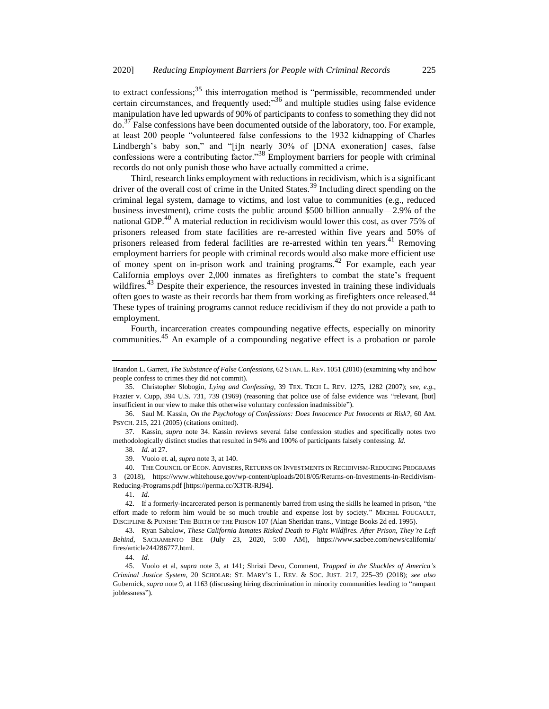to extract confessions;<sup>35</sup> this interrogation method is "permissible, recommended under certain circumstances, and frequently used; $^{36}$  and multiple studies using false evidence manipulation have led upwards of 90% of participants to confess to something they did not  $\phi$ <sup>37</sup> False confessions have been documented outside of the laboratory, too. For example, at least 200 people "volunteered false confessions to the 1932 kidnapping of Charles Lindbergh's baby son," and "[i]n nearly 30% of [DNA exoneration] cases, false confessions were a contributing factor."<sup>38</sup> Employment barriers for people with criminal records do not only punish those who have actually committed a crime.

Third, research links employment with reductions in recidivism, which is a significant driver of the overall cost of crime in the United States.<sup>39</sup> Including direct spending on the criminal legal system, damage to victims, and lost value to communities (e.g., reduced business investment), crime costs the public around \$500 billion annually—2.9% of the national GDP.<sup>40</sup> A material reduction in recidivism would lower this cost, as over 75% of prisoners released from state facilities are re-arrested within five years and 50% of prisoners released from federal facilities are re-arrested within ten years.<sup>41</sup> Removing employment barriers for people with criminal records would also make more efficient use of money spent on in-prison work and training programs.<sup>42</sup> For example, each year California employs over 2,000 inmates as firefighters to combat the state's frequent wildfires. $43$  Despite their experience, the resources invested in training these individuals often goes to waste as their records bar them from working as firefighters once released.<sup>44</sup> These types of training programs cannot reduce recidivism if they do not provide a path to employment.

Fourth, incarceration creates compounding negative effects, especially on minority communities.<sup>45</sup> An example of a compounding negative effect is a probation or parole

36. Saul M. Kassin, *On the Psychology of Confessions: Does Innocence Put Innocents at Risk?*, 60 AM. PSYCH. 215, 221 (2005) (citations omitted).

37. Kassin, *supra* note [34.](#page-5-1) Kassin reviews several false confession studies and specifically notes two methodologically distinct studies that resulted in 94% and 100% of participants falsely confessing. *Id.*

38. *Id.* at 27.

40. THE COUNCIL OF ECON. ADVISERS, RETURNS ON INVESTMENTS IN RECIDIVISM-REDUCING PROGRAMS 3 (2018), https://www.whitehouse.gov/wp-content/uploads/2018/05/Returns-on-Investments-in-Recidivism-Reducing-Programs.pdf [https://perma.cc/X3TR-RJ94].

41. *Id.*

42. If a formerly-incarcerated person is permanently barred from using the skills he learned in prison, "the effort made to reform him would be so much trouble and expense lost by society." MICHEL FOUCAULT, DISCIPLINE & PUNISH: THE BIRTH OF THE PRISON 107 (Alan Sheridan trans., Vintage Books 2d ed. 1995).

43. Ryan Sabalow, *These California Inmates Risked Death to Fight Wildfires. After Prison, They're Left Behind*, SACRAMENTO BEE (July 23, 2020, 5:00 AM), https://www.sacbee.com/news/california/ fires/article244286777.html.

44. *Id.*

45. Vuolo et al, *supra* note [3,](#page-2-0) at 141; Shristi Devu, Comment, *Trapped in the Shackles of America's Criminal Justice System*, 20 SCHOLAR: ST. MARY'S L. REV. & SOC. JUST. 217, 225–39 (2018); *see also*  Gubernick, *supra* note [9,](#page-2-1) at 1163 (discussing hiring discrimination in minority communities leading to "rampant joblessness").

Brandon L. Garrett, *The Substance of False Confessions*, 62 STAN. L. REV. 1051 (2010) (examining why and how people confess to crimes they did not commit).

<sup>35.</sup> Christopher Slobogin, *Lying and Confessing*, 39 TEX. TECH L. REV. 1275, 1282 (2007); *see, e.g.*, Frazier v. Cupp, 394 U.S. 731, 739 (1969) (reasoning that police use of false evidence was "relevant, [but] insufficient in our view to make this otherwise voluntary confession inadmissible").

<sup>39.</sup> Vuolo et. al, *supra* not[e 3,](#page-2-0) at 140.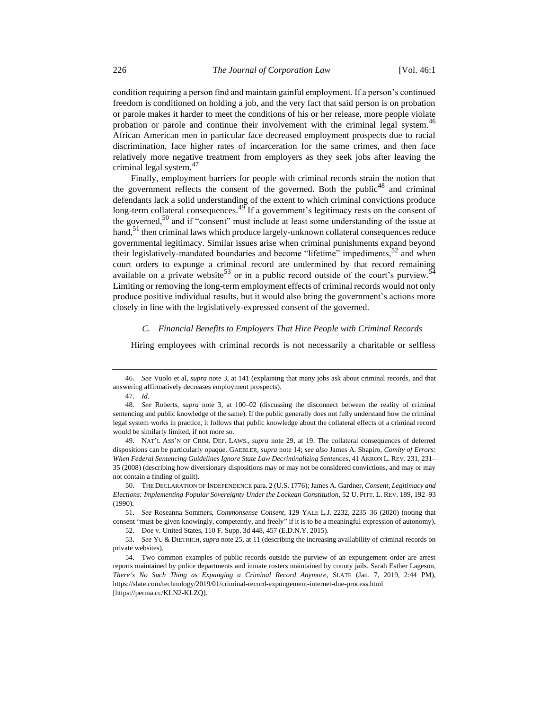condition requiring a person find and maintain gainful employment. If a person's continued freedom is conditioned on holding a job, and the very fact that said person is on probation or parole makes it harder to meet the conditions of his or her release, more people violate probation or parole and continue their involvement with the criminal legal system.<sup>46</sup> African American men in particular face decreased employment prospects due to racial discrimination, face higher rates of incarceration for the same crimes, and then face relatively more negative treatment from employers as they seek jobs after leaving the criminal legal system.<sup>47</sup>

Finally, employment barriers for people with criminal records strain the notion that the government reflects the consent of the governed. Both the public<sup>48</sup> and criminal defendants lack a solid understanding of the extent to which criminal convictions produce long-term collateral consequences. $49^{\circ}$  If a government's legitimacy rests on the consent of the governed,<sup>50</sup> and if "consent" must include at least some understanding of the issue at hand, $51$  then criminal laws which produce largely-unknown collateral consequences reduce governmental legitimacy. Similar issues arise when criminal punishments expand beyond their legislatively-mandated boundaries and become "lifetime" impediments,  $52$  and when court orders to expunge a criminal record are undermined by that record remaining available on a private website<sup>53</sup> or in a public record outside of the court's purview.<sup>54</sup> Limiting or removing the long-term employment effects of criminal records would not only produce positive individual results, but it would also bring the government's actions more closely in line with the legislatively-expressed consent of the governed.

## *C. Financial Benefits to Employers That Hire People with Criminal Records*

Hiring employees with criminal records is not necessarily a charitable or selfless

<sup>46.</sup> *See* Vuolo et al, *supra* note [3,](#page-2-0) at 141 (explaining that many jobs ask about criminal records, and that answering affirmatively decreases employment prospects).

<sup>47.</sup> *Id.*

<sup>48.</sup> *See* Roberts, *supra* note [3,](#page-2-0) at 100–02 (discussing the disconnect between the reality of criminal sentencing and public knowledge of the same). If the public generally does not fully understand how the criminal legal system works in practice, it follows that public knowledge about the collateral effects of a criminal record would be similarly limited, if not more so.

<sup>49.</sup> NAT'L ASS'N OF CRIM. DEF. LAWS., *supra* note [29,](#page-5-0) at 19. The collateral consequences of deferred dispositions can be particularly opaque. GAEBLER, *supra* not[e 14;](#page-3-0) *see also* James A. Shapiro, *Comity of Errors: When Federal Sentencing Guidelines Ignore State Law Decriminalizing Sentences*, 41 AKRON L. REV. 231, 231– 35 (2008) (describing how diversionary dispositions may or may not be considered convictions, and may or may not contain a finding of guilt).

<sup>50.</sup> THE DECLARATION OF INDEPENDENCE para. 2 (U.S. 1776); James A. Gardner, *Consent, Legitimacy and Elections: Implementing Popular Sovereignty Under the Lockean Constitution*, 52 U. PITT. L. REV. 189, 192–93 (1990).

<sup>51.</sup> *See* Roseanna Sommers, *Commonsense Consent*, 129 YALE L.J. 2232, 2235–36 (2020) (noting that consent "must be given knowingly, competently, and freely" if it is to be a meaningful expression of autonomy).

<sup>52.</sup> Doe v. United States, 110 F. Supp. 3d 448, 457 (E.D.N.Y. 2015).

<sup>53.</sup> *See* YU & DIETRICH, *supra* not[e 25,](#page-4-0) at 11 (describing the increasing availability of criminal records on private websites).

<sup>54.</sup> Two common examples of public records outside the purview of an expungement order are arrest reports maintained by police departments and inmate rosters maintained by county jails. Sarah Esther Lageson, *There's No Such Thing as Expunging a Criminal Record Anymore*, SLATE (Jan. 7, 2019, 2:44 PM), https://slate.com/technology/2019/01/criminal-record-expungement-internet-due-process.html [https://perma.cc/KLN2-KLZQ].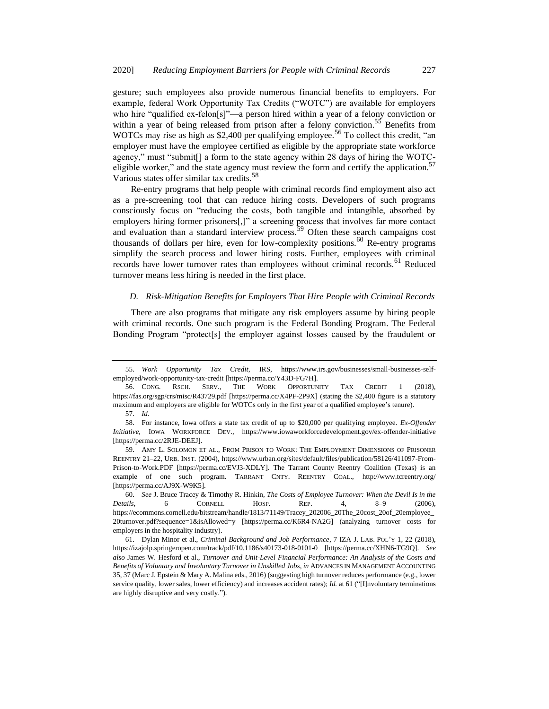<span id="page-8-0"></span>gesture; such employees also provide numerous financial benefits to employers. For example, federal Work Opportunity Tax Credits ("WOTC") are available for employers who hire "qualified ex-felon[s]"—a person hired within a year of a felony conviction or within a year of being released from prison after a felony conviction.<sup>55</sup> Benefits from WOTCs may rise as high as \$2,400 per qualifying employee.<sup>56</sup> To collect this credit, "an employer must have the employee certified as eligible by the appropriate state workforce agency," must "submit[] a form to the state agency within 28 days of hiring the WOTCeligible worker," and the state agency must review the form and certify the application.<sup>57</sup> Various states offer similar tax credits.<sup>58</sup>

<span id="page-8-1"></span>Re-entry programs that help people with criminal records find employment also act as a pre-screening tool that can reduce hiring costs. Developers of such programs consciously focus on "reducing the costs, both tangible and intangible, absorbed by employers hiring former prisoners[,]" a screening process that involves far more contact and evaluation than a standard interview process.<sup>59</sup> Often these search campaigns cost thousands of dollars per hire, even for low-complexity positions.<sup>60</sup> Re-entry programs simplify the search process and lower hiring costs. Further, employees with criminal records have lower turnover rates than employees without criminal records.<sup>61</sup> Reduced turnover means less hiring is needed in the first place.

## *D. Risk-Mitigation Benefits for Employers That Hire People with Criminal Records*

There are also programs that mitigate any risk employers assume by hiring people with criminal records. One such program is the Federal Bonding Program. The Federal Bonding Program "protect[s] the employer against losses caused by the fraudulent or

<sup>55.</sup> *Work Opportunity Tax Credit*, IRS, https://www.irs.gov/businesses/small-businesses-selfemployed/work-opportunity-tax-credit [https://perma.cc/Y43D-FG7H].

<sup>56.</sup> CONG. RSCH. SERV., THE WORK OPPORTUNITY TAX CREDIT 1 https://fas.org/sgp/crs/misc/R43729.pdf [https://perma.cc/X4PF-2P9X] (stating the \$2,400 figure is a statutory maximum and employers are eligible for WOTCs only in the first year of a qualified employee's tenure).

<sup>57.</sup> *Id.*

<sup>58.</sup> For instance, Iowa offers a state tax credit of up to \$20,000 per qualifying employee. *Ex-Offender Initiative*, IOWA WORKFORCE DEV., https://www.iowaworkforcedevelopment.gov/ex-offender-initiative [https://perma.cc/2RJE-DEEJ].

<sup>59.</sup> AMY L. SOLOMON ET AL., FROM PRISON TO WORK: THE EMPLOYMENT DIMENSIONS OF PRISONER REENTRY 21–22, URB. INST. (2004), https://www.urban.org/sites/default/files/publication/58126/411097-From-Prison-to-Work.PDF [https://perma.cc/EVJ3-XDLY]. The Tarrant County Reentry Coalition (Texas) is an example of one such program. TARRANT CNTY. REENTRY COAL., http://www.tcreentry.org/ [https://perma.cc/AJ9X-W9K5].

<sup>60.</sup> *See* J. Bruce Tracey & Timothy R. Hinkin, *The Costs of Employee Turnover: When the Devil Is in the Details*, 6 CORNELL HOSP. REP. 4, 8–9 (2006), https://ecommons.cornell.edu/bitstream/handle/1813/71149/Tracey\_202006\_20The\_20cost\_20of\_20employee\_ 20turnover.pdf?sequence=1&isAllowed=y [https://perma.cc/K6R4-NA2G] (analyzing turnover costs for employers in the hospitality industry).

<sup>61.</sup> Dylan Minor et al., *Criminal Background and Job Performance*, 7 IZA J. LAB. POL'Y 1, 22 (2018), https://izajolp.springeropen.com/track/pdf/10.1186/s40173-018-0101-0 [https://perma.cc/XHN6-TG9Q]. *See also* James W. Hesford et al., *Turnover and Unit-Level Financial Performance: An Analysis of the Costs and Benefits of Voluntary and Involuntary Turnover in Unskilled Jobs*, *in* ADVANCES IN MANAGEMENT ACCOUNTING 35, 37 (Marc J. Epstein & Mary A. Malina eds., 2016) (suggesting high turnover reduces performance (e.g., lower service quality, lower sales, lower efficiency) and increases accident rates); *Id.* at 61 ("[I]nvoluntary terminations are highly disruptive and very costly.").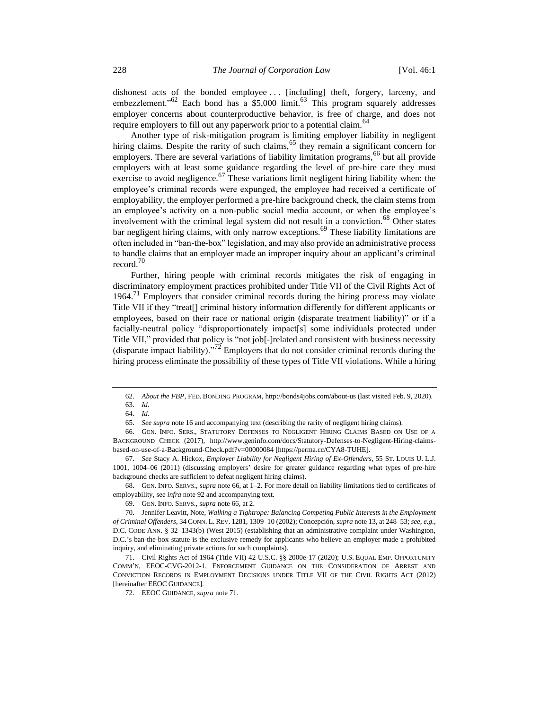dishonest acts of the bonded employee . . . [including] theft, forgery, larceny, and embezzlement."<sup>62</sup> Each bond has a \$5,000 limit.<sup>63</sup> This program squarely addresses employer concerns about counterproductive behavior, is free of charge, and does not require employers to fill out any paperwork prior to a potential claim.<sup>64</sup>

<span id="page-9-2"></span><span id="page-9-0"></span>Another type of risk-mitigation program is limiting employer liability in negligent hiring claims. Despite the rarity of such claims,<sup>65</sup> they remain a significant concern for employers. There are several variations of liability limitation programs, <sup>66</sup> but all provide employers with at least some guidance regarding the level of pre-hire care they must exercise to avoid negligence.<sup>67</sup> These variations limit negligent hiring liability when: the employee's criminal records were expunged, the employee had received a certificate of employability, the employer performed a pre-hire background check, the claim stems from an employee's activity on a non-public social media account, or when the employee's involvement with the criminal legal system did not result in a conviction.<sup>68</sup> Other states bar negligent hiring claims, with only narrow exceptions.<sup>69</sup> These liability limitations are often included in "ban-the-box" legislation, and may also provide an administrative process to handle claims that an employer made an improper inquiry about an applicant's criminal record.<sup>70</sup>

<span id="page-9-1"></span>Further, hiring people with criminal records mitigates the risk of engaging in discriminatory employment practices prohibited under Title VII of the Civil Rights Act of 1964.<sup>71</sup> Employers that consider criminal records during the hiring process may violate Title VII if they "treat[] criminal history information differently for different applicants or employees, based on their race or national origin (disparate treatment liability)" or if a facially-neutral policy "disproportionately impact[s] some individuals protected under Title VII," provided that policy is "not job[-]related and consistent with business necessity (disparate impact liability)."<sup>72</sup> Employers that do not consider criminal records during the hiring process eliminate the possibility of these types of Title VII violations. While a hiring

68. GEN. INFO. SERVS., *supra* note [66,](#page-9-0) at 1–2. For more detail on liability limitations tied to certificates of employability, see *infra* not[e 92](#page-12-0) and accompanying text.

71. Civil Rights Act of 1964 (Title VII) 42 U.S.C. §§ 2000e-17 (2020); U.S. EQUAL EMP. OPPORTUNITY COMM'N, EEOC-CVG-2012-1, ENFORCEMENT GUIDANCE ON THE CONSIDERATION OF ARREST AND CONVICTION RECORDS IN EMPLOYMENT DECISIONS UNDER TITLE VII OF THE CIVIL RIGHTS ACT (2012) [hereinafter EEOC GUIDANCE].

<sup>62.</sup> *About the FBP*, FED. BONDING PROGRAM, http://bonds4jobs.com/about-us (last visited Feb. 9, 2020).

<sup>63.</sup> *Id.*

<sup>64.</sup> *Id.*

<sup>65.</sup> *See supra* not[e 16](#page-3-1) and accompanying text (describing the rarity of negligent hiring claims).

<sup>66.</sup> GEN. INFO. SERS., STATUTORY DEFENSES TO NEGLIGENT HIRING CLAIMS BASED ON USE OF A BACKGROUND CHECK (2017), http://www.geninfo.com/docs/Statutory-Defenses-to-Negligent-Hiring-claimsbased-on-use-of-a-Background-Check.pdf?v=00000084 [https://perma.cc/CYA8-TUHE].

<sup>67.</sup> *See* Stacy A. Hickox, *Employer Liability for Negligent Hiring of Ex-Offenders*, 55 ST. LOUIS U. L.J. 1001, 1004–06 (2011) (discussing employers' desire for greater guidance regarding what types of pre-hire background checks are sufficient to defeat negligent hiring claims).

<sup>69.</sup> GEN. INFO. SERVS., s*upra* not[e 66,](#page-9-0) at 2.

<sup>70.</sup> Jennifer Leavitt, Note, *Walking a Tightrope: Balancing Competing Public Interests in the Employment of Criminal Offenders*, 34 CONN. L. REV. 1281, 1309–10 (2002); Concepción, *supra* not[e 13,](#page-3-2) at 248–53; *see, e.g.*, D.C. CODE ANN. § 32–1343(b) (West 2015) (establishing that an administrative complaint under Washington, D.C.'s ban-the-box statute is the exclusive remedy for applicants who believe an employer made a prohibited inquiry, and eliminating private actions for such complaints).

<sup>72.</sup> EEOC GUIDANCE, *supra* not[e 71.](#page-9-1)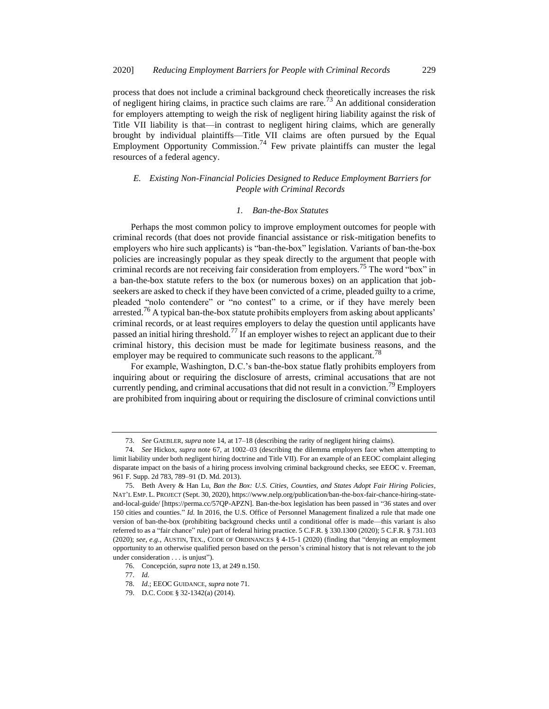process that does not include a criminal background check theoretically increases the risk of negligent hiring claims, in practice such claims are rare.<sup>73</sup> An additional consideration for employers attempting to weigh the risk of negligent hiring liability against the risk of Title VII liability is that—in contrast to negligent hiring claims, which are generally brought by individual plaintiffs—Title VII claims are often pursued by the Equal Employment Opportunity Commission.<sup>74</sup> Few private plaintiffs can muster the legal resources of a federal agency.

## *E. Existing Non-Financial Policies Designed to Reduce Employment Barriers for People with Criminal Records*

### *1. Ban-the-Box Statutes*

Perhaps the most common policy to improve employment outcomes for people with criminal records (that does not provide financial assistance or risk-mitigation benefits to employers who hire such applicants) is "ban-the-box" legislation. Variants of ban-the-box policies are increasingly popular as they speak directly to the argument that people with criminal records are not receiving fair consideration from employers.<sup>75</sup> The word "box" in a ban-the-box statute refers to the box (or numerous boxes) on an application that jobseekers are asked to check if they have been convicted of a crime, pleaded guilty to a crime, pleaded "nolo contendere" or "no contest" to a crime, or if they have merely been arrested.<sup>76</sup> A typical ban-the-box statute prohibits employers from asking about applicants' criminal records, or at least requires employers to delay the question until applicants have passed an initial hiring threshold.<sup>77</sup> If an employer wishes to reject an applicant due to their criminal history, this decision must be made for legitimate business reasons, and the employer may be required to communicate such reasons to the applicant.<sup>78</sup>

For example, Washington, D.C.'s ban-the-box statue flatly prohibits employers from inquiring about or requiring the disclosure of arrests, criminal accusations that are not currently pending, and criminal accusations that did not result in a conviction.<sup>79</sup> Employers are prohibited from inquiring about or requiring the disclosure of criminal convictions until

<sup>73.</sup> *See* GAEBLER, *supra* not[e 14,](#page-3-0) at 17–18 (describing the rarity of negligent hiring claims).

<sup>74.</sup> *See* Hickox, *supra* note [67,](#page-9-2) at 1002–03 (describing the dilemma employers face when attempting to limit liability under both negligent hiring doctrine and Title VII). For an example of an EEOC complaint alleging disparate impact on the basis of a hiring process involving criminal background checks, see EEOC v. Freeman, 961 F. Supp. 2d 783, 789–91 (D. Md. 2013).

<sup>75.</sup> Beth Avery & Han Lu, *Ban the Box: U.S. Cities, Counties, and States Adopt Fair Hiring Policies*, NAT'L EMP. L. PROJECT (Sept. 30, 2020), https://www.nelp.org/publication/ban-the-box-fair-chance-hiring-stateand-local-guide/ [https://perma.cc/57QP-APZN]. Ban-the-box legislation has been passed in "36 states and over 150 cities and counties." *Id.* In 2016, the U.S. Office of Personnel Management finalized a rule that made one version of ban-the-box (prohibiting background checks until a conditional offer is made—this variant is also referred to as a "fair chance" rule) part of federal hiring practice. 5 C.F.R. § 330.1300 (2020); 5 C.F.R. § 731.103 (2020); *see, e.g.*, AUSTIN, TEX., CODE OF ORDINANCES § 4-15-1 (2020) (finding that "denying an employment opportunity to an otherwise qualified person based on the person's criminal history that is not relevant to the job under consideration . . . is unjust").

<sup>76.</sup> Concepción, *supra* not[e 13,](#page-3-2) at 249 n.150.

<sup>77.</sup> *Id.*

<sup>78.</sup> *Id.*; EEOC GUIDANCE, *supra* not[e 71.](#page-9-1)

<sup>79.</sup> D.C. CODE § 32-1342(a) (2014).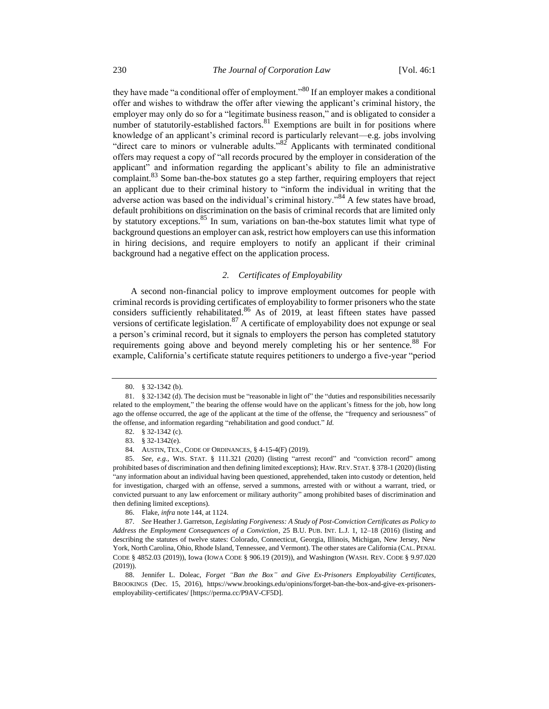they have made "a conditional offer of employment."<sup>80</sup> If an employer makes a conditional offer and wishes to withdraw the offer after viewing the applicant's criminal history, the employer may only do so for a "legitimate business reason," and is obligated to consider a number of statutorily-established factors. $81$  Exemptions are built in for positions where knowledge of an applicant's criminal record is particularly relevant—e.g. jobs involving "direct care to minors or vulnerable adults."<sup>82</sup> Applicants with terminated conditional offers may request a copy of "all records procured by the employer in consideration of the applicant" and information regarding the applicant's ability to file an administrative complaint.<sup>83</sup> Some ban-the-box statutes go a step farther, requiring employers that reject an applicant due to their criminal history to "inform the individual in writing that the adverse action was based on the individual's criminal history."<sup>84</sup> A few states have broad, default prohibitions on discrimination on the basis of criminal records that are limited only by statutory exceptions.<sup>85</sup> In sum, variations on ban-the-box statutes limit what type of background questions an employer can ask, restrict how employers can use this information in hiring decisions, and require employers to notify an applicant if their criminal background had a negative effect on the application process.

## <span id="page-11-0"></span>*2. Certificates of Employability*

A second non-financial policy to improve employment outcomes for people with criminal records is providing certificates of employability to former prisoners who the state considers sufficiently rehabilitated.<sup>86</sup> As of 2019, at least fifteen states have passed versions of certificate legislation.<sup>87</sup> A certificate of employability does not expunge or seal a person's criminal record, but it signals to employers the person has completed statutory requirements going above and beyond merely completing his or her sentence.<sup>88</sup> For example, California's certificate statute requires petitioners to undergo a five-year "period

<sup>80.</sup> § 32-1342 (b).

<sup>81.</sup> § 32-1342 (d). The decision must be "reasonable in light of" the "duties and responsibilities necessarily related to the employment," the bearing the offense would have on the applicant's fitness for the job, how long ago the offense occurred, the age of the applicant at the time of the offense, the "frequency and seriousness" of the offense, and information regarding "rehabilitation and good conduct." *Id.*

<sup>82.</sup> § 32-1342 (c).

<sup>83.</sup> § 32-1342(e).

<sup>84.</sup> AUSTIN, TEX., CODE OF ORDINANCES, § 4-15-4(F) (2019).

<sup>85.</sup> *See, e.g.*, WIS. STAT. § 111.321 (2020) (listing "arrest record" and "conviction record" among prohibited bases of discrimination and then defining limited exceptions); HAW. REV. STAT. § 378-1 (2020) (listing "any information about an individual having been questioned, apprehended, taken into custody or detention, held for investigation, charged with an offense, served a summons, arrested with or without a warrant, tried, or convicted pursuant to any law enforcement or military authority" among prohibited bases of discrimination and then defining limited exceptions).

<sup>86.</sup> Flake, *infra* not[e 144,](#page-19-0) at 1124.

<sup>87.</sup> *See* Heather J. Garretson, *Legislating Forgiveness: A Study of Post-Conviction Certificates as Policy to Address the Employment Consequences of a Conviction*, 25 B.U. PUB. INT. L.J. 1, 12–18 (2016) (listing and describing the statutes of twelve states: Colorado, Connecticut, Georgia, Illinois, Michigan, New Jersey, New York, North Carolina, Ohio, Rhode Island, Tennessee, and Vermont). The other states are California (CAL. PENAL CODE § 4852.03 (2019)), Iowa (IOWA CODE § 906.19 (2019)), and Washington (WASH. REV. CODE § 9.97.020 (2019)).

<sup>88.</sup> Jennifer L. Doleac, *Forget "Ban the Box" and Give Ex-Prisoners Employability Certificates*, BROOKINGS (Dec. 15, 2016), https://www.brookings.edu/opinions/forget-ban-the-box-and-give-ex-prisonersemployability-certificates/ [https://perma.cc/P9AV-CF5D].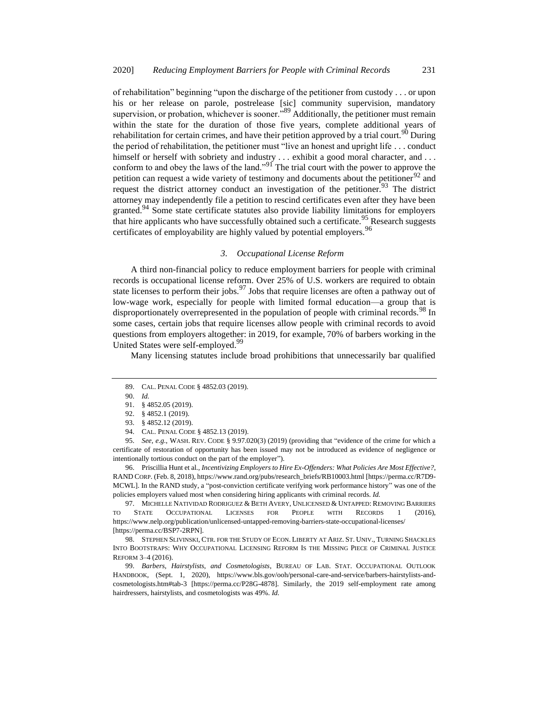of rehabilitation" beginning "upon the discharge of the petitioner from custody . . . or upon his or her release on parole, postrelease [sic] community supervision, mandatory supervision, or probation, whichever is sooner."<sup>89</sup> Additionally, the petitioner must remain within the state for the duration of those five years, complete additional years of rehabilitation for certain crimes, and have their petition approved by a trial court.<sup>90</sup> During the period of rehabilitation, the petitioner must "live an honest and upright life . . . conduct himself or herself with sobriety and industry . . . exhibit a good moral character, and . . . conform to and obey the laws of the land."<sup>91</sup> The trial court with the power to approve the petition can request a wide variety of testimony and documents about the petitioner<sup>92</sup> and request the district attorney conduct an investigation of the petitioner.<sup>93</sup> The district attorney may independently file a petition to rescind certificates even after they have been granted.<sup>94</sup> Some state certificate statutes also provide liability limitations for employers that hire applicants who have successfully obtained such a certificate.  $95$  Research suggests certificates of employability are highly valued by potential employers.<sup>96</sup>

#### <span id="page-12-2"></span><span id="page-12-1"></span>*3. Occupational License Reform*

A third non-financial policy to reduce employment barriers for people with criminal records is occupational license reform. Over 25% of U.S. workers are required to obtain state licenses to perform their jobs.<sup>97</sup> Jobs that require licenses are often a pathway out of low-wage work, especially for people with limited formal education—a group that is disproportionately overrepresented in the population of people with criminal records.<sup>98</sup> In some cases, certain jobs that require licenses allow people with criminal records to avoid questions from employers altogether: in 2019, for example, 70% of barbers working in the United States were self-employed.<sup>99</sup>

Many licensing statutes include broad prohibitions that unnecessarily bar qualified

95. *See, e.g.*, WASH. REV. CODE § 9.97.020(3) (2019) (providing that "evidence of the crime for which a certificate of restoration of opportunity has been issued may not be introduced as evidence of negligence or intentionally tortious conduct on the part of the employer").

96. Priscillia Hunt et al., *Incentivizing Employers to Hire Ex-Offenders: What Policies Are Most Effective?*, RAND CORP. (Feb. 8, 2018), https://www.rand.org/pubs/research\_briefs/RB10003.html [https://perma.cc/R7D9- MCWL]. In the RAND study, a "post-conviction certificate verifying work performance history" was one of the policies employers valued most when considering hiring applicants with criminal records. *Id.*

97. MICHELLE NATIVIDAD RODRIGUEZ & BETH AVERY, UNLICENSED & UNTAPPED: REMOVING BARRIERS TO STATE OCCUPATIONAL LICENSES FOR PEOPLE WITH RECORDS 1 (2016), https://www.nelp.org/publication/unlicensed-untapped-removing-barriers-state-occupational-licenses/ [https://perma.cc/BSP7-2RPN].

98. STEPHEN SLIVINSKI, CTR. FOR THE STUDY OF ECON. LIBERTY AT ARIZ. ST. UNIV., TURNING SHACKLES INTO BOOTSTRAPS: WHY OCCUPATIONAL LICENSING REFORM IS THE MISSING PIECE OF CRIMINAL JUSTICE REFORM 3–4 (2016).

99. *Barbers, Hairstylists, and Cosmetologists*, BUREAU OF LAB. STAT. OCCUPATIONAL OUTLOOK HANDBOOK, (Sept. 1, 2020), https://www.bls.gov/ooh/personal-care-and-service/barbers-hairstylists-andcosmetologists.htm#tab-3 [https://perma.cc/P28G-4878]. Similarly, the 2019 self-employment rate among hairdressers, hairstylists, and cosmetologists was 49%. *Id.*

<span id="page-12-0"></span>

<sup>89.</sup> CAL. PENAL CODE § 4852.03 (2019).

<sup>90.</sup> *Id.*

<sup>91.</sup> § 4852.05 (2019).

<sup>92.</sup> § 4852.1 (2019).

<sup>93.</sup> § 4852.12 (2019).

<sup>94.</sup> CAL. PENAL CODE § 4852.13 (2019).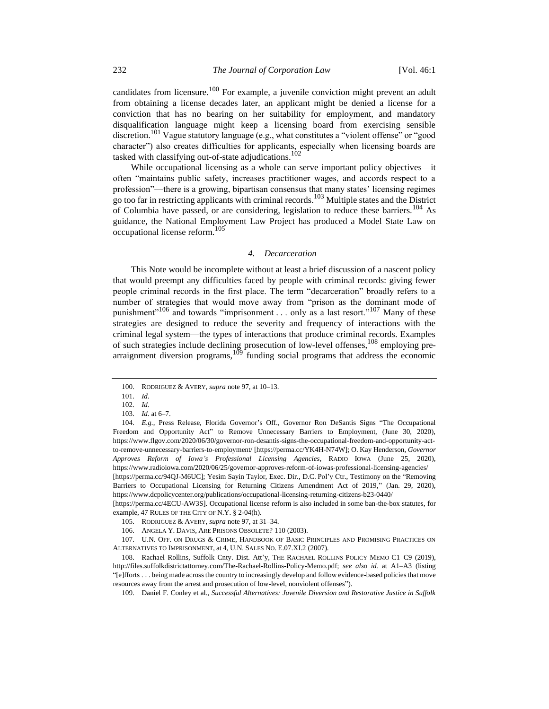candidates from licensure.<sup>100</sup> For example, a juvenile conviction might prevent an adult from obtaining a license decades later, an applicant might be denied a license for a conviction that has no bearing on her suitability for employment, and mandatory disqualification language might keep a licensing board from exercising sensible discretion.<sup>101</sup> Vague statutory language (e.g., what constitutes a "violent offense" or "good character") also creates difficulties for applicants, especially when licensing boards are tasked with classifying out-of-state adjudications.<sup>102</sup>

While occupational licensing as a whole can serve important policy objectives—it often "maintains public safety, increases practitioner wages, and accords respect to a profession"—there is a growing, bipartisan consensus that many states' licensing regimes go too far in restricting applicants with criminal records.<sup>103</sup> Multiple states and the District of Columbia have passed, or are considering, legislation to reduce these barriers.<sup>104</sup> As guidance, the National Employment Law Project has produced a Model State Law on occupational license reform.<sup>105</sup>

#### <span id="page-13-0"></span>*4. Decarceration*

<span id="page-13-1"></span>This Note would be incomplete without at least a brief discussion of a nascent policy that would preempt any difficulties faced by people with criminal records: giving fewer people criminal records in the first place. The term "decarceration" broadly refers to a number of strategies that would move away from "prison as the dominant mode of punishment"<sup>106</sup> and towards "imprisonment . . . only as a last resort."<sup>107</sup> Many of these strategies are designed to reduce the severity and frequency of interactions with the criminal legal system—the types of interactions that produce criminal records. Examples of such strategies include declining prosecution of low-level offenses,<sup>108</sup> employing prearraignment diversion programs, $109$  funding social programs that address the economic

<sup>100.</sup> RODRIGUEZ & AVERY, *supra* not[e 97,](#page-12-1) at 10–13.

<sup>101.</sup> *Id.*

<sup>102.</sup> *Id.*

<sup>103.</sup> *Id.* at 6–7.

<sup>104.</sup> *E.g.*, Press Release, Florida Governor's Off., Governor Ron DeSantis Signs "The Occupational Freedom and Opportunity Act" to Remove Unnecessary Barriers to Employment, (June 30, 2020), https://www.flgov.com/2020/06/30/governor-ron-desantis-signs-the-occupational-freedom-and-opportunity-actto-remove-unnecessary-barriers-to-employment/ [https://perma.cc/YK4H-N74W]; O. Kay Henderson, *Governor Approves Reform of Iowa's Professional Licensing Agencies*, RADIO IOWA (June 25, 2020), https://www.radioiowa.com/2020/06/25/governor-approves-reform-of-iowas-professional-licensing-agencies/ [https://perma.cc/94QJ-M6UC]; Yesim Sayin Taylor, Exec. Dir., D.C. Pol'y Ctr., Testimony on the "Removing Barriers to Occupational Licensing for Returning Citizens Amendment Act of 2019," (Jan. 29, 2020), https://www.dcpolicycenter.org/publications/occupational-licensing-returning-citizens-b23-0440/ [https://perma.cc/4ECU-AW3S]. Occupational license reform is also included in some ban-the-box statutes, for

example, 47 RULES OF THE CITY OF N.Y. § 2-04(h). 105. RODRIGUEZ & AVERY, *supra* not[e 97,](#page-12-1) at 31–34.

<sup>106.</sup> ANGELA Y. DAVIS, ARE PRISONS OBSOLETE? 110 (2003).

<sup>107.</sup> U.N. OFF. ON DRUGS & CRIME, HANDBOOK OF BASIC PRINCIPLES AND PROMISING PRACTICES ON ALTERNATIVES TO IMPRISONMENT, at 4, U.N. SALES NO. E.07.XI.2 (2007).

<sup>108.</sup> Rachael Rollins, Suffolk Cnty. Dist. Att'y, THE RACHAEL ROLLINS POLICY MEMO C1–C9 (2019), http://files.suffolkdistrictattorney.com/The-Rachael-Rollins-Policy-Memo.pdf; *see also id.* at A1–A3 (listing "[e]fforts . . . being made across the country to increasingly develop and follow evidence-based policies that move resources away from the arrest and prosecution of low-level, nonviolent offenses").

<sup>109.</sup> Daniel F. Conley et al., *Successful Alternatives: Juvenile Diversion and Restorative Justice in Suffolk*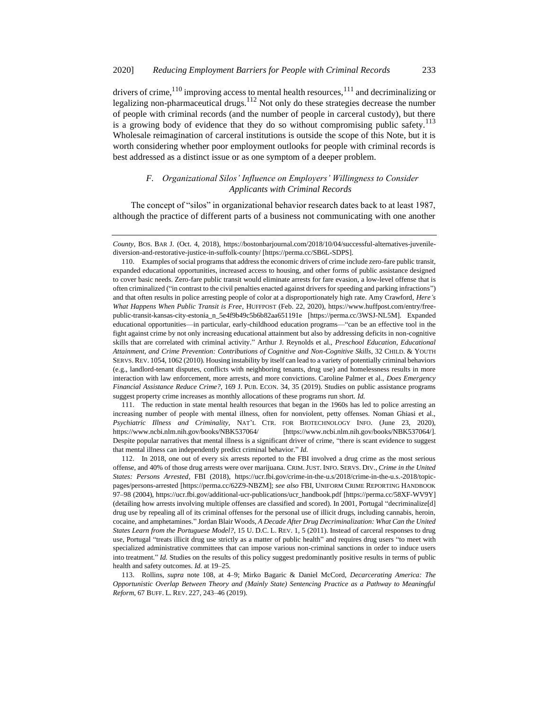drivers of crime,<sup>110</sup> improving access to mental health resources,<sup>111</sup> and decriminalizing or legalizing non-pharmaceutical drugs.<sup>112</sup> Not only do these strategies decrease the number of people with criminal records (and the number of people in carceral custody), but there is a growing body of evidence that they do so without compromising public safety.<sup>113</sup> Wholesale reimagination of carceral institutions is outside the scope of this Note, but it is worth considering whether poor employment outlooks for people with criminal records is best addressed as a distinct issue or as one symptom of a deeper problem.

## *F. Organizational Silos' Influence on Employers' Willingness to Consider Applicants with Criminal Records*

The concept of "silos" in organizational behavior research dates back to at least 1987, although the practice of different parts of a business not communicating with one another

111. The reduction in state mental health resources that began in the 1960s has led to police arresting an increasing number of people with mental illness, often for nonviolent, petty offenses. Noman Ghiasi et al., *Psychiatric Illness and Criminality*, NAT'L CTR. FOR BIOTECHNOLOGY INFO. (June 23, 2020), https://www.ncbi.nlm.nih.gov/books/NBK537064/ [https://www.ncbi.nlm.nih.gov/books/NBK537064/]. Despite popular narratives that mental illness is a significant driver of crime, "there is scant evidence to suggest that mental illness can independently predict criminal behavior." *Id.*

112. In 2018, one out of every six arrests reported to the FBI involved a drug crime as the most serious offense, and 40% of those drug arrests were over marijuana. CRIM. JUST. INFO. SERVS. DIV., *Crime in the United States: Persons Arrested*, FBI (2018), https://ucr.fbi.gov/crime-in-the-u.s/2018/crime-in-the-u.s.-2018/topicpages/persons-arrested [https://perma.cc/62Z9-NBZM]; *see also* FBI, UNIFORM CRIME REPORTING HANDBOOK 97–98 (2004), https://ucr.fbi.gov/additional-ucr-publications/ucr\_handbook.pdf [https://perma.cc/58XF-WV9Y] (detailing how arrests involving multiple offenses are classified and scored). In 2001, Portugal "decriminalize[d] drug use by repealing all of its criminal offenses for the personal use of illicit drugs, including cannabis, heroin, cocaine, and amphetamines." Jordan Blair Woods, *A Decade After Drug Decriminalization: What Can the United States Learn from the Portuguese Model?*, 15 U. D.C. L. REV. 1, 5 (2011). Instead of carceral responses to drug use, Portugal "treats illicit drug use strictly as a matter of public health" and requires drug users "to meet with specialized administrative committees that can impose various non-criminal sanctions in order to induce users into treatment." *Id.* Studies on the results of this policy suggest predominantly positive results in terms of public health and safety outcomes. *Id.* at 19–25.

113. Rollins, *supra* note [108,](#page-13-0) at 4–9; Mirko Bagaric & Daniel McCord, *Decarcerating America: The Opportunistic Overlap Between Theory and (Mainly State) Sentencing Practice as a Pathway to Meaningful Reform*, 67 BUFF. L. REV. 227, 243–46 (2019).

*County*, BOS. BAR J. (Oct. 4, 2018), https://bostonbarjournal.com/2018/10/04/successful-alternatives-juvenilediversion-and-restorative-justice-in-suffolk-county/ [https://perma.cc/SB6L-SDPS].

<sup>110.</sup> Examples of social programs that address the economic drivers of crime include zero-fare public transit, expanded educational opportunities, increased access to housing, and other forms of public assistance designed to cover basic needs. Zero-fare public transit would eliminate arrests for fare evasion, a low-level offense that is often criminalized ("in contrast to the civil penalties enacted against drivers for speeding and parking infractions") and that often results in police arresting people of color at a disproportionately high rate. Amy Crawford, *Here's What Happens When Public Transit is Free*, HUFFPOST (Feb. 22, 2020), https://www.huffpost.com/entry/freepublic-transit-kansas-city-estonia\_n\_5e4f9b49c5b6b82aa651191e [https://perma.cc/3WSJ-NL5M]. Expanded educational opportunities—in particular, early-childhood education programs—"can be an effective tool in the fight against crime by not only increasing educational attainment but also by addressing deficits in non-cognitive skills that are correlated with criminal activity." Arthur J. Reynolds et al., *Preschool Education, Educational Attainment, and Crime Prevention: Contributions of Cognitive and Non-Cognitive Skills*, 32 CHILD. & YOUTH SERVS. REV. 1054, 1062 (2010). Housing instability by itself can lead to a variety of potentially criminal behaviors (e.g., landlord-tenant disputes, conflicts with neighboring tenants, drug use) and homelessness results in more interaction with law enforcement, more arrests, and more convictions. Caroline Palmer et al., *Does Emergency Financial Assistance Reduce Crime?*, 169 J. PUB. ECON. 34, 35 (2019). Studies on public assistance programs suggest property crime increases as monthly allocations of these programs run short. *Id.*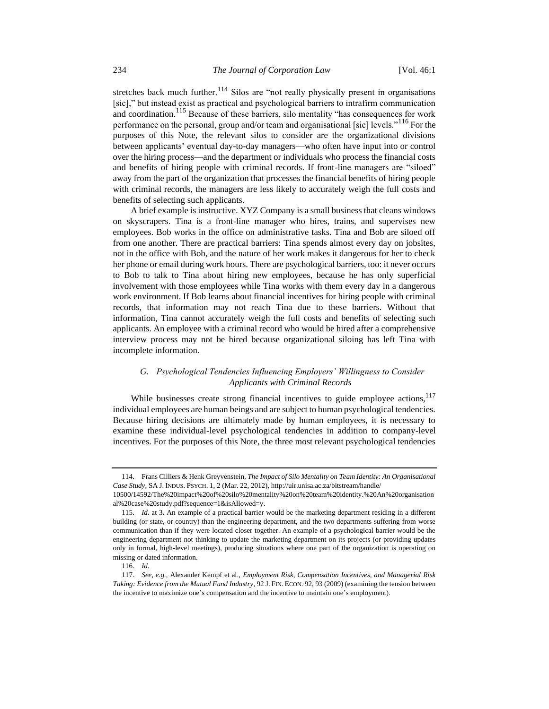stretches back much further.<sup>114</sup> Silos are "not really physically present in organisations" [sic]," but instead exist as practical and psychological barriers to intrafirm communication and coordination.<sup>115</sup> Because of these barriers, silo mentality "has consequences for work performance on the personal, group and/or team and organisational [sic] levels."<sup>116</sup> For the purposes of this Note, the relevant silos to consider are the organizational divisions between applicants' eventual day-to-day managers—who often have input into or control over the hiring process—and the department or individuals who process the financial costs and benefits of hiring people with criminal records. If front-line managers are "siloed" away from the part of the organization that processes the financial benefits of hiring people with criminal records, the managers are less likely to accurately weigh the full costs and benefits of selecting such applicants.

A brief example is instructive. XYZ Company is a small business that cleans windows on skyscrapers. Tina is a front-line manager who hires, trains, and supervises new employees. Bob works in the office on administrative tasks. Tina and Bob are siloed off from one another. There are practical barriers: Tina spends almost every day on jobsites, not in the office with Bob, and the nature of her work makes it dangerous for her to check her phone or email during work hours. There are psychological barriers, too: it never occurs to Bob to talk to Tina about hiring new employees, because he has only superficial involvement with those employees while Tina works with them every day in a dangerous work environment. If Bob learns about financial incentives for hiring people with criminal records, that information may not reach Tina due to these barriers. Without that information, Tina cannot accurately weigh the full costs and benefits of selecting such applicants. An employee with a criminal record who would be hired after a comprehensive interview process may not be hired because organizational siloing has left Tina with incomplete information.

## *G. Psychological Tendencies Influencing Employers' Willingness to Consider Applicants with Criminal Records*

While businesses create strong financial incentives to guide employee actions,<sup>117</sup> individual employees are human beings and are subject to human psychological tendencies. Because hiring decisions are ultimately made by human employees, it is necessary to examine these individual-level psychological tendencies in addition to company-level incentives. For the purposes of this Note, the three most relevant psychological tendencies

<sup>114.</sup> Frans Cilliers & Henk Greyvenstein, *The Impact of Silo Mentality on Team Identity: An Organisational Case Study*, SA J. INDUS. PSYCH. 1, 2 (Mar. 22, 2012), http://uir.unisa.ac.za/bitstream/handle/ 10500/14592/The%20impact%20of%20silo%20mentality%20on%20team%20identity.%20An%20organisation

al%20case%20study.pdf?sequence=1&isAllowed=y.

<sup>115.</sup> *Id.* at 3. An example of a practical barrier would be the marketing department residing in a different building (or state, or country) than the engineering department, and the two departments suffering from worse communication than if they were located closer together. An example of a psychological barrier would be the engineering department not thinking to update the marketing department on its projects (or providing updates only in formal, high-level meetings), producing situations where one part of the organization is operating on missing or dated information.

<sup>116.</sup> *Id.*

<sup>117.</sup> *See, e.g.*, Alexander Kempf et al., *Employment Risk, Compensation Incentives, and Managerial Risk Taking: Evidence from the Mutual Fund Industry*, 92 J. FIN. ECON. 92, 93 (2009) (examining the tension between the incentive to maximize one's compensation and the incentive to maintain one's employment).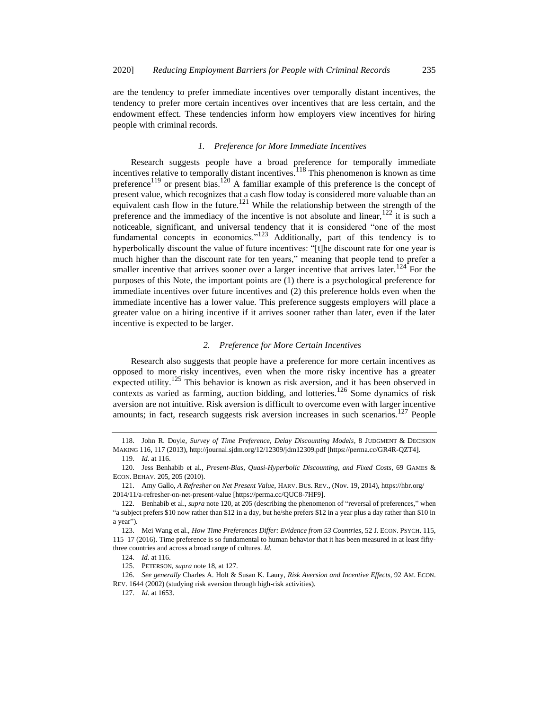are the tendency to prefer immediate incentives over temporally distant incentives, the tendency to prefer more certain incentives over incentives that are less certain, and the endowment effect. These tendencies inform how employers view incentives for hiring people with criminal records.

## <span id="page-16-3"></span><span id="page-16-2"></span><span id="page-16-1"></span><span id="page-16-0"></span>*1. Preference for More Immediate Incentives*

Research suggests people have a broad preference for temporally immediate incentives relative to temporally distant incentives.<sup>118</sup> This phenomenon is known as time preference<sup>119</sup> or present bias.<sup>120</sup> A familiar example of this preference is the concept of present value, which recognizes that a cash flow today is considered more valuable than an equivalent cash flow in the future.<sup>121</sup> While the relationship between the strength of the preference and the immediacy of the incentive is not absolute and linear,  $122$  it is such a noticeable, significant, and universal tendency that it is considered "one of the most fundamental concepts in economics."<sup>123</sup> Additionally, part of this tendency is to hyperbolically discount the value of future incentives: "[t]he discount rate for one year is much higher than the discount rate for ten years," meaning that people tend to prefer a smaller incentive that arrives sooner over a larger incentive that arrives later.<sup>124</sup> For the purposes of this Note, the important points are (1) there is a psychological preference for immediate incentives over future incentives and (2) this preference holds even when the immediate incentive has a lower value. This preference suggests employers will place a greater value on a hiring incentive if it arrives sooner rather than later, even if the later incentive is expected to be larger.

## *2. Preference for More Certain Incentives*

Research also suggests that people have a preference for more certain incentives as opposed to more risky incentives, even when the more risky incentive has a greater expected utility.<sup>125</sup> This behavior is known as risk aversion, and it has been observed in contexts as varied as farming, auction bidding, and lotteries.<sup>126</sup> Some dynamics of risk aversion are not intuitive. Risk aversion is difficult to overcome even with larger incentive amounts; in fact, research suggests risk aversion increases in such scenarios.<sup>127</sup> People

<sup>118.</sup> John R. Doyle, *Survey of Time Preference, Delay Discounting Models*, 8 JUDGMENT & DECISION MAKING 116, 117 (2013), http://journal.sjdm.org/12/12309/jdm12309.pdf [https://perma.cc/GR4R-QZT4].

<sup>119.</sup> *Id.* at 116.

<sup>120.</sup> Jess Benhabib et al., *Present-Bias, Quasi-Hyperbolic Discounting, and Fixed Costs*, 69 GAMES & ECON. BEHAV. 205, 205 (2010).

<sup>121.</sup> Amy Gallo, *A Refresher on Net Present Value*, HARV. BUS. REV., (Nov. 19, 2014), https://hbr.org/ 2014/11/a-refresher-on-net-present-value [https://perma.cc/QUC8-7HF9].

<sup>122.</sup> Benhabib et al., *supra* not[e 120,](#page-16-0) at 205 (describing the phenomenon of "reversal of preferences," when "a subject prefers \$10 now rather than \$12 in a day, but he/she prefers \$12 in a year plus a day rather than \$10 in a year").

<sup>123.</sup> Mei Wang et al., *How Time Preferences Differ: Evidence from 53 Countries*, 52 J. ECON. PSYCH. 115, 115–17 (2016). Time preference is so fundamental to human behavior that it has been measured in at least fiftythree countries and across a broad range of cultures. *Id.*

<sup>124.</sup> *Id.* at 116.

<sup>125.</sup> PETERSON, *supra* not[e 18,](#page-3-3) at 127.

<sup>126.</sup> *See generally* Charles A. Holt & Susan K. Laury, *Risk Aversion and Incentive Effects*, 92 AM. ECON. REV. 1644 (2002) (studying risk aversion through high-risk activities).

<sup>127.</sup> *Id.* at 1653.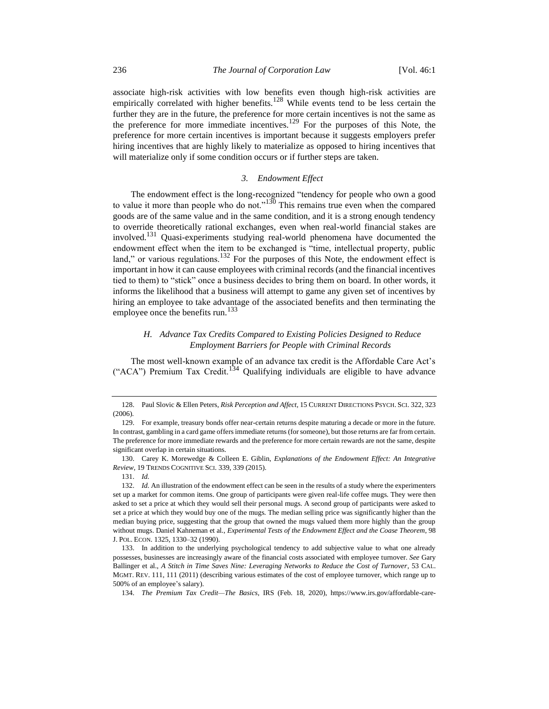associate high-risk activities with low benefits even though high-risk activities are empirically correlated with higher benefits.<sup>128</sup> While events tend to be less certain the further they are in the future, the preference for more certain incentives is not the same as the preference for more immediate incentives.<sup>129</sup> For the purposes of this Note, the preference for more certain incentives is important because it suggests employers prefer hiring incentives that are highly likely to materialize as opposed to hiring incentives that will materialize only if some condition occurs or if further steps are taken.

## *3. Endowment Effect*

The endowment effect is the long-recognized "tendency for people who own a good to value it more than people who do not."<sup>130</sup> This remains true even when the compared goods are of the same value and in the same condition, and it is a strong enough tendency to override theoretically rational exchanges, even when real-world financial stakes are involved.<sup>131</sup> Quasi-experiments studying real-world phenomena have documented the endowment effect when the item to be exchanged is "time, intellectual property, public land," or various regulations.<sup>132</sup> For the purposes of this Note, the endowment effect is important in how it can cause employees with criminal records (and the financial incentives tied to them) to "stick" once a business decides to bring them on board. In other words, it informs the likelihood that a business will attempt to game any given set of incentives by hiring an employee to take advantage of the associated benefits and then terminating the employee once the benefits run.<sup>133</sup>

## *H. Advance Tax Credits Compared to Existing Policies Designed to Reduce Employment Barriers for People with Criminal Records*

The most well-known example of an advance tax credit is the Affordable Care Act's ("ACA") Premium Tax Credit.<sup>134</sup> Qualifying individuals are eligible to have advance

<sup>128.</sup> Paul Slovic & Ellen Peters, *Risk Perception and Affect*, 15 CURRENT DIRECTIONS PSYCH. SCI. 322, 323 (2006).

<sup>129.</sup> For example, treasury bonds offer near-certain returns despite maturing a decade or more in the future. In contrast, gambling in a card game offers immediate returns (for someone), but those returns are far from certain. The preference for more immediate rewards and the preference for more certain rewards are not the same, despite significant overlap in certain situations.

<sup>130.</sup> Carey K. Morewedge & Colleen E. Giblin, *Explanations of the Endowment Effect: An Integrative Review*, 19 TRENDS COGNITIVE SCI. 339, 339 (2015).

<sup>131.</sup> *Id.* 

<sup>132.</sup> *Id.* An illustration of the endowment effect can be seen in the results of a study where the experimenters set up a market for common items. One group of participants were given real-life coffee mugs. They were then asked to set a price at which they would sell their personal mugs. A second group of participants were asked to set a price at which they would buy one of the mugs. The median selling price was significantly higher than the median buying price, suggesting that the group that owned the mugs valued them more highly than the group without mugs. Daniel Kahneman et al., *Experimental Tests of the Endowment Effect and the Coase Theorem*, 98 J. POL. ECON. 1325, 1330–32 (1990).

<sup>133.</sup> In addition to the underlying psychological tendency to add subjective value to what one already possesses, businesses are increasingly aware of the financial costs associated with employee turnover. *See* Gary Ballinger et al., *A Stitch in Time Saves Nine: Leveraging Networks to Reduce the Cost of Turnover*, 53 CAL. MGMT. REV. 111, 111 (2011) (describing various estimates of the cost of employee turnover, which range up to 500% of an employee's salary).

<sup>134.</sup> *The Premium Tax Credit—The Basics*, IRS (Feb. 18, 2020), https://www.irs.gov/affordable-care-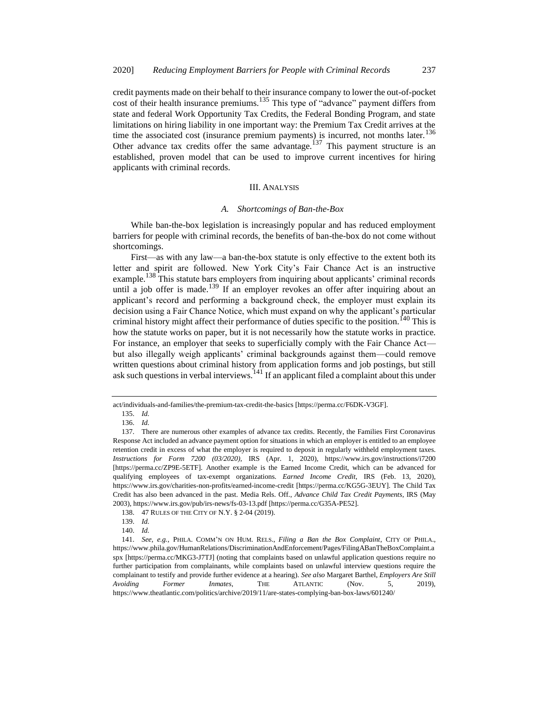credit payments made on their behalf to their insurance company to lower the out-of-pocket cost of their health insurance premiums.<sup>135</sup> This type of "advance" payment differs from state and federal Work Opportunity Tax Credits, the Federal Bonding Program, and state limitations on hiring liability in one important way: the Premium Tax Credit arrives at the time the associated cost (insurance premium payments) is incurred, not months later. $136$ Other advance tax credits offer the same advantage.<sup>137</sup> This payment structure is an established, proven model that can be used to improve current incentives for hiring applicants with criminal records.

## III. ANALYSIS

#### *A. Shortcomings of Ban-the-Box*

While ban-the-box legislation is increasingly popular and has reduced employment barriers for people with criminal records, the benefits of ban-the-box do not come without shortcomings.

First—as with any law—a ban-the-box statute is only effective to the extent both its letter and spirit are followed. New York City's Fair Chance Act is an instructive example.<sup>138</sup> This statute bars employers from inquiring about applicants' criminal records until a job offer is made.<sup>139</sup> If an employer revokes an offer after inquiring about an applicant's record and performing a background check, the employer must explain its decision using a Fair Chance Notice, which must expand on why the applicant's particular criminal history might affect their performance of duties specific to the position.<sup>140</sup> This is how the statute works on paper, but it is not necessarily how the statute works in practice. For instance, an employer that seeks to superficially comply with the Fair Chance Act but also illegally weigh applicants' criminal backgrounds against them—could remove written questions about criminal history from application forms and job postings, but still ask such questions in verbal interviews.<sup>141</sup> If an applicant filed a complaint about this under

act/individuals-and-families/the-premium-tax-credit-the-basics [https://perma.cc/F6DK-V3GF].

<span id="page-18-0"></span><sup>135.</sup> *Id.*

<sup>136.</sup> *Id.*

<sup>137.</sup> There are numerous other examples of advance tax credits. Recently, the Families First Coronavirus Response Act included an advance payment option for situations in which an employer is entitled to an employee retention credit in excess of what the employer is required to deposit in regularly withheld employment taxes. *Instructions for Form 7200 (03/2020)*, IRS (Apr. 1, 2020), https://www.irs.gov/instructions/i7200 [https://perma.cc/ZP9E-5ETF]. Another example is the Earned Income Credit, which can be advanced for qualifying employees of tax-exempt organizations. *Earned Income Credit*, IRS (Feb. 13, 2020), https://www.irs.gov/charities-non-profits/earned-income-credit [https://perma.cc/KG5G-3EUY]. The Child Tax Credit has also been advanced in the past. Media Rels. Off., *Advance Child Tax Credit Payments*, IRS (May 2003), https://www.irs.gov/pub/irs-news/fs-03-13.pdf [https://perma.cc/G35A-PE52].

<sup>138.</sup> 47 RULES OF THE CITY OF N.Y. § 2-04 (2019).

<sup>139.</sup> *Id.*

<sup>140.</sup> *Id.*

<sup>141.</sup> *See, e.g.*, PHILA. COMM'N ON HUM. RELS., *Filing a Ban the Box Complaint*, CITY OF PHILA., https://www.phila.gov/HumanRelations/DiscriminationAndEnforcement/Pages/FilingABanTheBoxComplaint.a spx [https://perma.cc/MKG3-J7TJ] (noting that complaints based on unlawful application questions require no further participation from complainants, while complaints based on unlawful interview questions require the complainant to testify and provide further evidence at a hearing). *See also* Margaret Barthel, *Employers Are Still Avoiding Former Inmates*, THE ATLANTIC (Nov. 5, 2019), https://www.theatlantic.com/politics/archive/2019/11/are-states-complying-ban-box-laws/601240/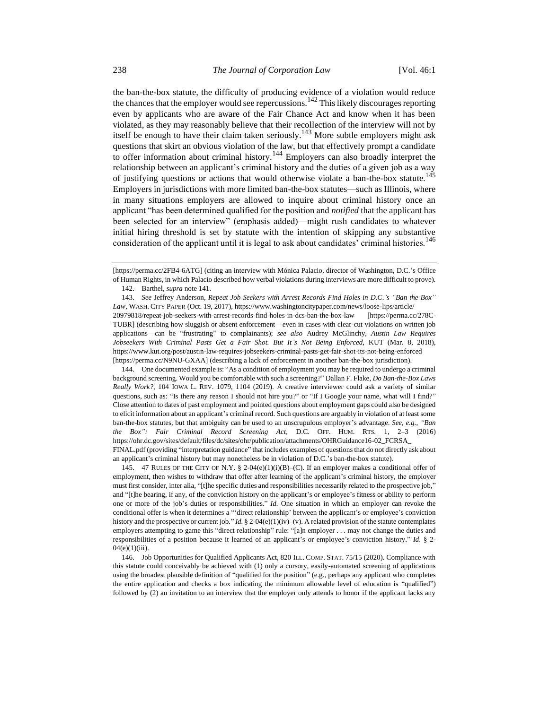<span id="page-19-0"></span>the ban-the-box statute, the difficulty of producing evidence of a violation would reduce the chances that the employer would see repercussions.<sup>142</sup> This likely discourages reporting even by applicants who are aware of the Fair Chance Act and know when it has been violated, as they may reasonably believe that their recollection of the interview will not by itself be enough to have their claim taken seriously.<sup>143</sup> More subtle employers might ask questions that skirt an obvious violation of the law, but that effectively prompt a candidate to offer information about criminal history.<sup>144</sup> Employers can also broadly interpret the relationship between an applicant's criminal history and the duties of a given job as a way of justifying questions or actions that would otherwise violate a ban-the-box statute.<sup>145</sup> Employers in jurisdictions with more limited ban-the-box statutes—such as Illinois, where in many situations employers are allowed to inquire about criminal history once an applicant "has been determined qualified for the position and *notified* that the applicant has been selected for an interview" (emphasis added)—might rush candidates to whatever initial hiring threshold is set by statute with the intention of skipping any substantive consideration of the applicant until it is legal to ask about candidates' criminal histories.<sup>146</sup>

144. One documented example is: "As a condition of employment you may be required to undergo a criminal background screening. Would you be comfortable with such a screening?" Dallan F. Flake, *Do Ban-the-Box Laws Really Work?*, 104 IOWA L. REV. 1079, 1104 (2019). A creative interviewer could ask a variety of similar questions, such as: "Is there any reason I should not hire you?" or "If I Google your name, what will I find?" Close attention to dates of past employment and pointed questions about employment gaps could also be designed to elicit information about an applicant's criminal record. Such questions are arguably in violation of at least some ban-the-box statutes, but that ambiguity can be used to an unscrupulous employer's advantage. *See, e.g.*, *"Ban the Box": Fair Criminal Record Screening Act*, D.C. OFF. HUM. RTS. 1, 2–3 (2016) https://ohr.dc.gov/sites/default/files/dc/sites/ohr/publication/attachments/OHRGuidance16-02\_FCRSA\_ FINAL.pdf (providing "interpretation guidance" that includes examples of questions that do not directly ask about an applicant's criminal history but may nonetheless be in violation of D.C.'s ban-the-box statute).

145. 47 RULES OF THE CITY OF N.Y. § 2-04(e)(1)(i)(B)–(C). If an employer makes a conditional offer of employment, then wishes to withdraw that offer after learning of the applicant's criminal history, the employer must first consider, inter alia, "[t]he specific duties and responsibilities necessarily related to the prospective job," and "[t]he bearing, if any, of the conviction history on the applicant's or employee's fitness or ability to perform one or more of the job's duties or responsibilities." *Id.* One situation in which an employer can revoke the conditional offer is when it determines a "'direct relationship' between the applicant's or employee's conviction history and the prospective or current job." *Id.* § 2-04(e)(1)(iv)–(v). A related provision of the statute contemplates employers attempting to game this "direct relationship" rule: "[a]n employer . . . may not change the duties and responsibilities of a position because it learned of an applicant's or employee's conviction history." *Id*. § 2-  $04(e)(1)(iii)$ .

146. Job Opportunities for Qualified Applicants Act, 820 ILL. COMP. STAT. 75/15 (2020). Compliance with this statute could conceivably be achieved with (1) only a cursory, easily-automated screening of applications using the broadest plausible definition of "qualified for the position" (e.g., perhaps any applicant who completes the entire application and checks a box indicating the minimum allowable level of education is "qualified") followed by (2) an invitation to an interview that the employer only attends to honor if the applicant lacks any

<sup>[</sup>https://perma.cc/2FB4-6ATG] (citing an interview with Mónica Palacio, director of Washington, D.C.'s Office of Human Rights, in which Palacio described how verbal violations during interviews are more difficult to prove).

<sup>142.</sup> Barthel, *supra* not[e 141.](#page-18-0)

<sup>143.</sup> *See* Jeffrey Anderson, *Repeat Job Seekers with Arrest Records Find Holes in D.C.'s "Ban the Box" Law*, WASH. CITY PAPER (Oct. 19, 2017), https://www.washingtoncitypaper.com/news/loose-lips/article/ 20979818/repeat-job-seekers-with-arrest-records-find-holes-in-dcs-ban-the-box-law [https://perma.cc/278C-TUBR] (describing how sluggish or absent enforcement—even in cases with clear-cut violations on written job applications—can be "frustrating" to complainants); *see also* Audrey McGlinchy, *Austin Law Requires Jobseekers With Criminal Pasts Get a Fair Shot. But It's Not Being Enforced*, KUT (Mar. 8, 2018), https://www.kut.org/post/austin-law-requires-jobseekers-criminal-pasts-get-fair-shot-its-not-being-enforced [https://perma.cc/N9NU-GXAA] (describing a lack of enforcement in another ban-the-box jurisdiction).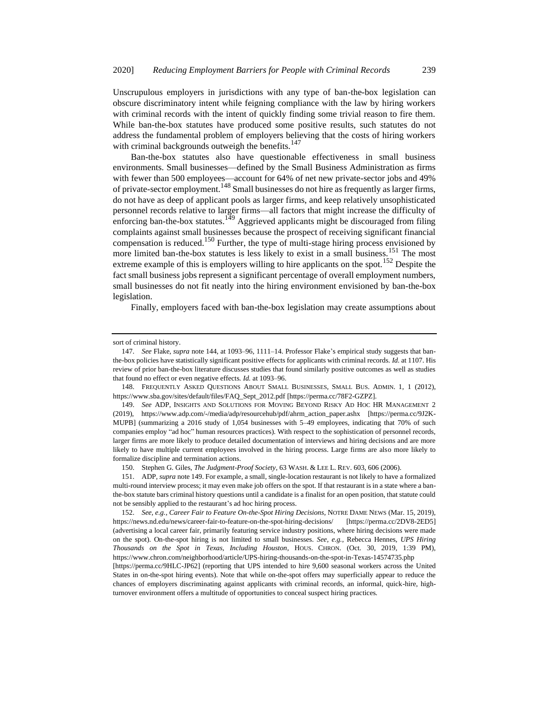Unscrupulous employers in jurisdictions with any type of ban-the-box legislation can obscure discriminatory intent while feigning compliance with the law by hiring workers with criminal records with the intent of quickly finding some trivial reason to fire them. While ban-the-box statutes have produced some positive results, such statutes do not address the fundamental problem of employers believing that the costs of hiring workers with criminal backgrounds outweigh the benefits.<sup>147</sup>

<span id="page-20-1"></span><span id="page-20-0"></span>Ban-the-box statutes also have questionable effectiveness in small business environments. Small businesses—defined by the Small Business Administration as firms with fewer than 500 employees—account for 64% of net new private-sector jobs and 49% of private-sector employment.<sup>148</sup> Small businesses do not hire as frequently as larger firms, do not have as deep of applicant pools as larger firms, and keep relatively unsophisticated personnel records relative to larger firms—all factors that might increase the difficulty of enforcing ban-the-box statutes.<sup>149</sup> Aggrieved applicants might be discouraged from filing complaints against small businesses because the prospect of receiving significant financial compensation is reduced.<sup>150</sup> Further, the type of multi-stage hiring process envisioned by more limited ban-the-box statutes is less likely to exist in a small business.<sup>151</sup> The most extreme example of this is employers willing to hire applicants on the spot.<sup>152</sup> Despite the fact small business jobs represent a significant percentage of overall employment numbers, small businesses do not fit neatly into the hiring environment envisioned by ban-the-box legislation.

Finally, employers faced with ban-the-box legislation may create assumptions about

150. Stephen G. Giles, *The Judgment-Proof Society*, 63 WASH. & LEE L. REV. 603, 606 (2006).

151. ADP, *supra* not[e 149.](#page-20-0) For example, a small, single-location restaurant is not likely to have a formalized multi-round interview process; it may even make job offers on the spot. If that restaurant is in a state where a banthe-box statute bars criminal history questions until a candidate is a finalist for an open position, that statute could not be sensibly applied to the restaurant's ad hoc hiring process.

152. *See, e.g.*, *Career Fair to Feature On-the-Spot Hiring Decisions*, NOTRE DAME NEWS (Mar. 15, 2019), https://news.nd.edu/news/career-fair-to-feature-on-the-spot-hiring-decisions/ [https://perma.cc/2DV8-2ED5] (advertising a local career fair, primarily featuring service industry positions, where hiring decisions were made on the spot). On-the-spot hiring is not limited to small businesses. *See, e.g.*, Rebecca Hennes, *UPS Hiring Thousands on the Spot in Texas, Including Houston*, HOUS. CHRON. (Oct. 30, 2019, 1:39 PM), https://www.chron.com/neighborhood/article/UPS-hiring-thousands-on-the-spot-in-Texas-14574735.php [https://perma.cc/9HLC-JP62] (reporting that UPS intended to hire 9,600 seasonal workers across the United

States in on-the-spot hiring events). Note that while on-the-spot offers may superficially appear to reduce the chances of employers discriminating against applicants with criminal records, an informal, quick-hire, highturnover environment offers a multitude of opportunities to conceal suspect hiring practices.

sort of criminal history.

<sup>147.</sup> *See* Flake, *supra* not[e 144,](#page-19-0) at 1093–96, 1111–14. Professor Flake's empirical study suggests that banthe-box policies have statistically significant positive effects for applicants with criminal records. *Id.* at 1107. His review of prior ban-the-box literature discusses studies that found similarly positive outcomes as well as studies that found no effect or even negative effects. *Id.* at 1093–96.

<sup>148.</sup> FREQUENTLY ASKED QUESTIONS ABOUT SMALL BUSINESSES, SMALL BUS. ADMIN. 1, 1 (2012), https://www.sba.gov/sites/default/files/FAQ\_Sept\_2012.pdf [https://perma.cc/78F2-GZPZ].

<sup>149.</sup> *See* ADP, INSIGHTS AND SOLUTIONS FOR MOVING BEYOND RISKY AD HOC HR MANAGEMENT 2 (2019), https://www.adp.com/-/media/adp/resourcehub/pdf/ahrm\_action\_paper.ashx [https://perma.cc/9J2K-MUPB] (summarizing a 2016 study of 1,054 businesses with 5–49 employees, indicating that 70% of such companies employ "ad hoc" human resources practices). With respect to the sophistication of personnel records, larger firms are more likely to produce detailed documentation of interviews and hiring decisions and are more likely to have multiple current employees involved in the hiring process. Large firms are also more likely to formalize discipline and termination actions.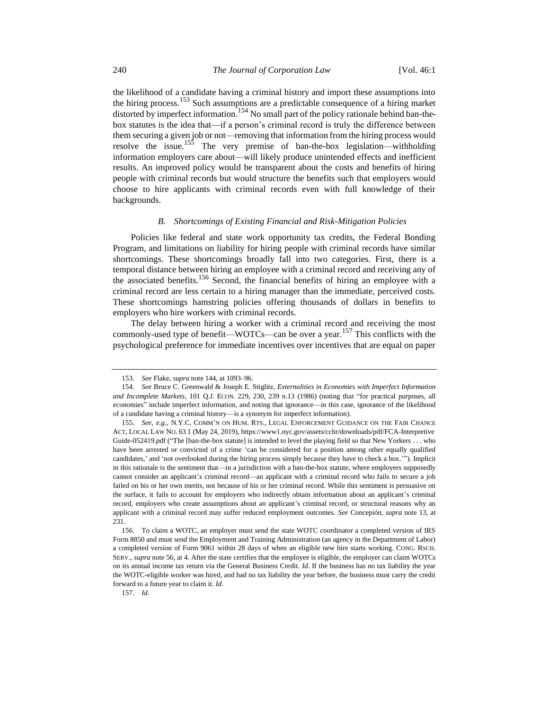the likelihood of a candidate having a criminal history and import these assumptions into the hiring process.<sup>153</sup> Such assumptions are a predictable consequence of a hiring market distorted by imperfect information.<sup>154</sup> No small part of the policy rationale behind ban-thebox statutes is the idea that—if a person's criminal record is truly the difference between them securing a given job or not—removing that information from the hiring process would resolve the issue.<sup>155</sup> The very premise of ban-the-box legislation—withholding information employers care about—will likely produce unintended effects and inefficient results. An improved policy would be transparent about the costs and benefits of hiring people with criminal records but would structure the benefits such that employers would choose to hire applicants with criminal records even with full knowledge of their backgrounds.

#### <span id="page-21-0"></span>*B. Shortcomings of Existing Financial and Risk-Mitigation Policies*

Policies like federal and state work opportunity tax credits, the Federal Bonding Program, and limitations on liability for hiring people with criminal records have similar shortcomings. These shortcomings broadly fall into two categories. First, there is a temporal distance between hiring an employee with a criminal record and receiving any of the associated benefits.<sup>156</sup> Second, the financial benefits of hiring an employee with a criminal record are less certain to a hiring manager than the immediate, perceived costs. These shortcomings hamstring policies offering thousands of dollars in benefits to employers who hire workers with criminal records.

The delay between hiring a worker with a criminal record and receiving the most commonly-used type of benefit—WOTCs—can be over a year.<sup>157</sup> This conflicts with the psychological preference for immediate incentives over incentives that are equal on paper

157. *Id.*

<sup>153.</sup> *See* Flake, *supra* not[e 144,](#page-19-0) at 1093–96.

<sup>154.</sup> *See* Bruce C. Greenwald & Joseph E. Stiglitz, *Externalities in Economies with Imperfect Information and Incomplete Markets*, 101 Q.J. ECON. 229, 230, 239 n.13 (1986) (noting that "for practical purposes, all economies" include imperfect information, and noting that ignorance—in this case, ignorance of the likelihood of a candidate having a criminal history—is a synonym for imperfect information).

<sup>155.</sup> *See, e.g.*, N.Y.C. COMM'N ON HUM. RTS., LEGAL ENFORCEMENT GUIDANCE ON THE FAIR CHANCE ACT, LOCAL LAW NO. 63 1 (May 24, 2019), https://www1.nyc.gov/assets/cchr/downloads/pdf/FCA-Interpretive Guide-052419.pdf ("The [ban-the-box statute] is intended to level the playing field so that New Yorkers . . . who have been arrested or convicted of a crime 'can be considered for a position among other equally qualified candidates,' and 'not overlooked during the hiring process simply because they have to check a box.'"). Implicit in this rationale is the sentiment that—in a jurisdiction with a ban-the-box statute, where employers supposedly cannot consider an applicant's criminal record—an applicant with a criminal record who fails to secure a job failed on his or her own merits, not because of his or her criminal record. While this sentiment is persuasive on the surface, it fails to account for employers who indirectly obtain information about an applicant's criminal record, employers who create assumptions about an applicant's criminal record, or structural reasons why an applicant with a criminal record may suffer reduced employment outcomes. *See* Concepión, *supra* not[e 13,](#page-3-2) at 231.

<sup>156.</sup> To claim a WOTC, an employer must send the state WOTC coordinator a completed version of IRS Form 8850 and must send the Employment and Training Administration (an agency in the Department of Labor) a completed version of Form 9061 within 28 days of when an eligible new hire starts working. CONG. RSCH. SERV., *supra* not[e 56,](#page-8-0) at 4. After the state certifies that the employee is eligible, the employer can claim WOTCs on its annual income tax return via the General Business Credit. *Id.* If the business has no tax liability the year the WOTC-eligible worker was hired, and had no tax liability the year before, the business must carry the credit forward to a future year to claim it. *Id.*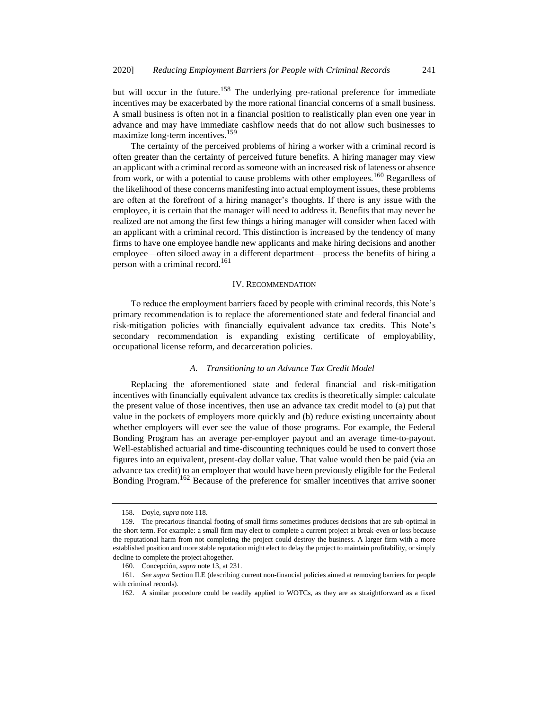but will occur in the future.<sup>158</sup> The underlying pre-rational preference for immediate incentives may be exacerbated by the more rational financial concerns of a small business. A small business is often not in a financial position to realistically plan even one year in advance and may have immediate cashflow needs that do not allow such businesses to maximize long-term incentives.<sup>159</sup>

The certainty of the perceived problems of hiring a worker with a criminal record is often greater than the certainty of perceived future benefits. A hiring manager may view an applicant with a criminal record as someone with an increased risk of lateness or absence from work, or with a potential to cause problems with other employees.<sup>160</sup> Regardless of the likelihood of these concerns manifesting into actual employment issues, these problems are often at the forefront of a hiring manager's thoughts. If there is any issue with the employee, it is certain that the manager will need to address it. Benefits that may never be realized are not among the first few things a hiring manager will consider when faced with an applicant with a criminal record. This distinction is increased by the tendency of many firms to have one employee handle new applicants and make hiring decisions and another employee—often siloed away in a different department—process the benefits of hiring a person with a criminal record.<sup>161</sup>

#### IV. RECOMMENDATION

To reduce the employment barriers faced by people with criminal records, this Note's primary recommendation is to replace the aforementioned state and federal financial and risk-mitigation policies with financially equivalent advance tax credits. This Note's secondary recommendation is expanding existing certificate of employability, occupational license reform, and decarceration policies.

## *A. Transitioning to an Advance Tax Credit Model*

Replacing the aforementioned state and federal financial and risk-mitigation incentives with financially equivalent advance tax credits is theoretically simple: calculate the present value of those incentives, then use an advance tax credit model to (a) put that value in the pockets of employers more quickly and (b) reduce existing uncertainty about whether employers will ever see the value of those programs. For example, the Federal Bonding Program has an average per-employer payout and an average time-to-payout. Well-established actuarial and time-discounting techniques could be used to convert those figures into an equivalent, present-day dollar value. That value would then be paid (via an advance tax credit) to an employer that would have been previously eligible for the Federal Bonding Program.<sup>162</sup> Because of the preference for smaller incentives that arrive sooner

<sup>158.</sup> Doyle, *supra* not[e 118.](#page-16-1) 

<sup>159.</sup> The precarious financial footing of small firms sometimes produces decisions that are sub-optimal in the short term. For example: a small firm may elect to complete a current project at break-even or loss because the reputational harm from not completing the project could destroy the business. A larger firm with a more established position and more stable reputation might elect to delay the project to maintain profitability, or simply decline to complete the project altogether.

<sup>160.</sup> Concepción, *supra* note [13,](#page-3-2) at 231.

<sup>161.</sup> *See supra* Section II.E (describing current non-financial policies aimed at removing barriers for people with criminal records).

<sup>162.</sup> A similar procedure could be readily applied to WOTCs, as they are as straightforward as a fixed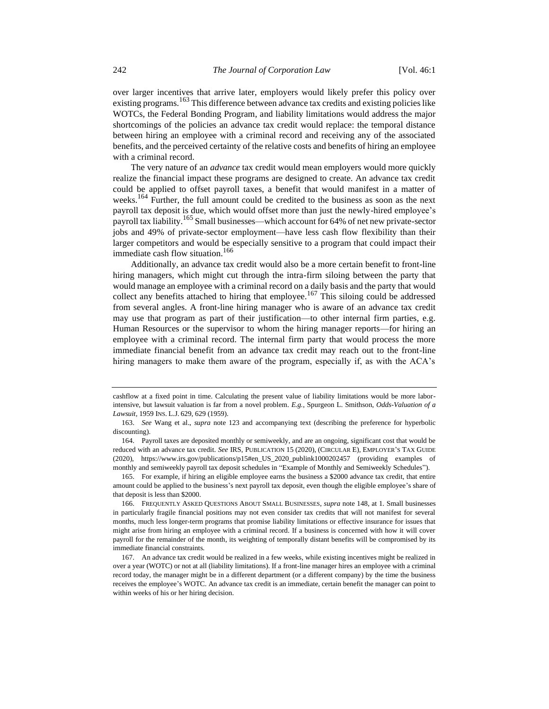over larger incentives that arrive later, employers would likely prefer this policy over existing programs.<sup>163</sup> This difference between advance tax credits and existing policies like WOTCs, the Federal Bonding Program, and liability limitations would address the major shortcomings of the policies an advance tax credit would replace: the temporal distance between hiring an employee with a criminal record and receiving any of the associated benefits, and the perceived certainty of the relative costs and benefits of hiring an employee with a criminal record.

The very nature of an *advance* tax credit would mean employers would more quickly realize the financial impact these programs are designed to create. An advance tax credit could be applied to offset payroll taxes, a benefit that would manifest in a matter of weeks.<sup>164</sup> Further, the full amount could be credited to the business as soon as the next payroll tax deposit is due, which would offset more than just the newly-hired employee's payroll tax liability.<sup>165</sup> Small businesses—which account for 64% of net new private-sector jobs and 49% of private-sector employment—have less cash flow flexibility than their larger competitors and would be especially sensitive to a program that could impact their immediate cash flow situation.<sup>166</sup>

Additionally, an advance tax credit would also be a more certain benefit to front-line hiring managers, which might cut through the intra-firm siloing between the party that would manage an employee with a criminal record on a daily basis and the party that would collect any benefits attached to hiring that employee.<sup>167</sup> This siloing could be addressed from several angles. A front-line hiring manager who is aware of an advance tax credit may use that program as part of their justification—to other internal firm parties, e.g. Human Resources or the supervisor to whom the hiring manager reports—for hiring an employee with a criminal record. The internal firm party that would process the more immediate financial benefit from an advance tax credit may reach out to the front-line hiring managers to make them aware of the program, especially if, as with the ACA's

165. For example, if hiring an eligible employee earns the business a \$2000 advance tax credit, that entire amount could be applied to the business's next payroll tax deposit, even though the eligible employee's share of that deposit is less than \$2000.

cashflow at a fixed point in time. Calculating the present value of liability limitations would be more laborintensive, but lawsuit valuation is far from a novel problem. *E.g.*, Spurgeon L. Smithson, *Odds-Valuation of a Lawsuit*, 1959 INS. L.J. 629, 629 (1959).

<sup>163.</sup> *See* Wang et al., *supra* note [123](#page-16-2) and accompanying text (describing the preference for hyperbolic discounting).

<sup>164.</sup> Payroll taxes are deposited monthly or semiweekly, and are an ongoing, significant cost that would be reduced with an advance tax credit. *See* IRS, PUBLICATION 15 (2020), (CIRCULAR E), EMPLOYER'S TAX GUIDE (2020), https://www.irs.gov/publications/p15#en\_US\_2020\_publink1000202457 (providing examples of monthly and semiweekly payroll tax deposit schedules in "Example of Monthly and Semiweekly Schedules").

<sup>166.</sup> FREQUENTLY ASKED QUESTIONS ABOUT SMALL BUSINESSES, *supra* note [148,](#page-20-1) at 1. Small businesses in particularly fragile financial positions may not even consider tax credits that will not manifest for several months, much less longer-term programs that promise liability limitations or effective insurance for issues that might arise from hiring an employee with a criminal record. If a business is concerned with how it will cover payroll for the remainder of the month, its weighting of temporally distant benefits will be compromised by its immediate financial constraints.

<sup>167.</sup> An advance tax credit would be realized in a few weeks, while existing incentives might be realized in over a year (WOTC) or not at all (liability limitations). If a front-line manager hires an employee with a criminal record today, the manager might be in a different department (or a different company) by the time the business receives the employee's WOTC. An advance tax credit is an immediate, certain benefit the manager can point to within weeks of his or her hiring decision.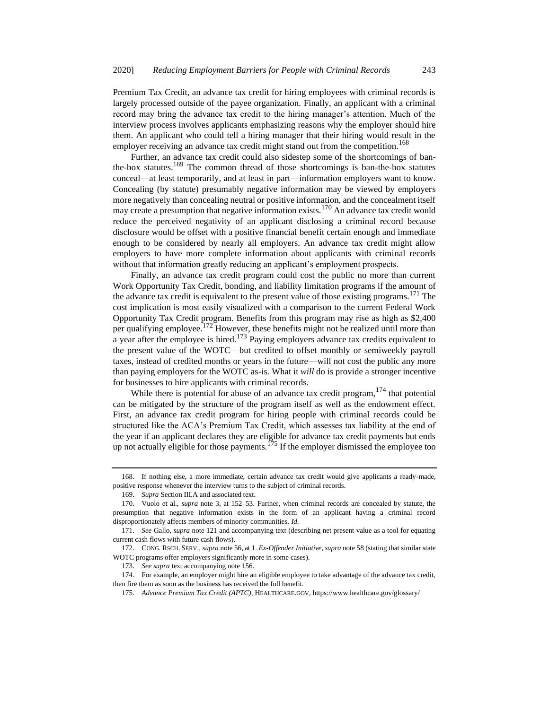Premium Tax Credit, an advance tax credit for hiring employees with criminal records is largely processed outside of the payee organization. Finally, an applicant with a criminal record may bring the advance tax credit to the hiring manager's attention. Much of the interview process involves applicants emphasizing reasons why the employer should hire them. An applicant who could tell a hiring manager that their hiring would result in the employer receiving an advance tax credit might stand out from the competition.<sup>168</sup>

Further, an advance tax credit could also sidestep some of the shortcomings of banthe-box statutes.<sup>169</sup> The common thread of those shortcomings is ban-the-box statutes conceal—at least temporarily, and at least in part—information employers want to know. Concealing (by statute) presumably negative information may be viewed by employers more negatively than concealing neutral or positive information, and the concealment itself may create a presumption that negative information exists.<sup>170</sup> An advance tax credit would reduce the perceived negativity of an applicant disclosing a criminal record because disclosure would be offset with a positive financial benefit certain enough and immediate enough to be considered by nearly all employers. An advance tax credit might allow employers to have more complete information about applicants with criminal records without that information greatly reducing an applicant's employment prospects.

Finally, an advance tax credit program could cost the public no more than current Work Opportunity Tax Credit, bonding, and liability limitation programs if the amount of the advance tax credit is equivalent to the present value of those existing programs.<sup>171</sup> The cost implication is most easily visualized with a comparison to the current Federal Work Opportunity Tax Credit program. Benefits from this program may rise as high as \$2,400 per qualifying employee.<sup>172</sup> However, these benefits might not be realized until more than a year after the employee is hired.<sup>173</sup> Paying employers advance tax credits equivalent to the present value of the WOTC—but credited to offset monthly or semiweekly payroll taxes, instead of credited months or years in the future—will not cost the public any more than paying employers for the WOTC as-is. What it *will* do is provide a stronger incentive for businesses to hire applicants with criminal records.

While there is potential for abuse of an advance tax credit program,  $174$  that potential can be mitigated by the structure of the program itself as well as the endowment effect. First, an advance tax credit program for hiring people with criminal records could be structured like the ACA's Premium Tax Credit, which assesses tax liability at the end of the year if an applicant declares they are eligible for advance tax credit payments but ends up not actually eligible for those payments.<sup>175</sup> If the employer dismissed the employee too

<sup>168.</sup> If nothing else, a more immediate, certain advance tax credit would give applicants a ready-made, positive response whenever the interview turns to the subject of criminal records.

<sup>169.</sup> *Supra* Section III.A and associated text.

<sup>170.</sup> Vuolo et al., *supra* note [3,](#page-2-0) at 152–53. Further, when criminal records are concealed by statute, the presumption that negative information exists in the form of an applicant having a criminal record disproportionately affects members of minority communities. *Id.*

<sup>171.</sup> *See* Gallo, *supra* not[e 121](#page-16-3) and accompanying text (describing net present value as a tool for equating current cash flows with future cash flows).

<sup>172.</sup> CONG. RSCH. SERV., *supra* not[e 56,](#page-8-0) at 1. *Ex-Offender Initiative*,*supra* not[e 58](#page-8-1) (stating that similar state WOTC programs offer employers significantly more in some cases).

<sup>173.</sup> *See supra* text accompanying note [156.](#page-21-0)

<sup>174.</sup> For example, an employer might hire an eligible employee to take advantage of the advance tax credit, then fire them as soon as the business has received the full benefit.

<sup>175.</sup> *Advance Premium Tax Credit (APTC)*, HEALTHCARE.GOV, https://www.healthcare.gov/glossary/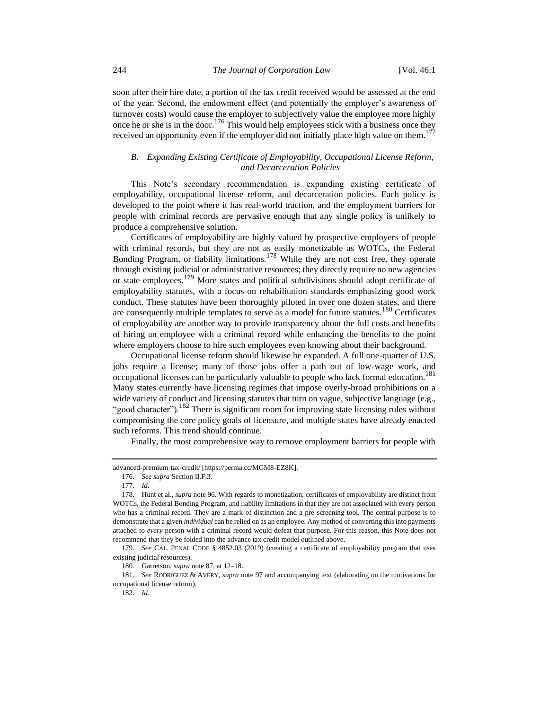soon after their hire date, a portion of the tax credit received would be assessed at the end of the year. Second, the endowment effect (and potentially the employer's awareness of turnover costs) would cause the employer to subjectively value the employee more highly once he or she is in the door.<sup>176</sup> This would help employees stick with a business once they received an opportunity even if the employer did not initially place high value on them.<sup>177</sup>

## *B. Expanding Existing Certificate of Employability, Occupational License Reform, and Decarceration Policies*

This Note's secondary recommendation is expanding existing certificate of employability, occupational license reform, and decarceration policies. Each policy is developed to the point where it has real-world traction, and the employment barriers for people with criminal records are pervasive enough that any single policy is unlikely to produce a comprehensive solution.

Certificates of employability are highly valued by prospective employers of people with criminal records, but they are not as easily monetizable as WOTCs, the Federal Bonding Program, or liability limitations.<sup>178</sup> While they are not cost free, they operate through existing judicial or administrative resources; they directly require no new agencies or state employees.<sup>179</sup> More states and political subdivisions should adopt certificate of employability statutes, with a focus on rehabilitation standards emphasizing good work conduct. These statutes have been thoroughly piloted in over one dozen states, and there are consequently multiple templates to serve as a model for future statutes.<sup>180</sup> Certificates of employability are another way to provide transparency about the full costs and benefits of hiring an employee with a criminal record while enhancing the benefits to the point where employers choose to hire such employees even knowing about their background.

Occupational license reform should likewise be expanded. A full one-quarter of U.S. jobs require a license; many of those jobs offer a path out of low-wage work, and occupational licenses can be particularly valuable to people who lack formal education.<sup>181</sup> Many states currently have licensing regimes that impose overly-broad prohibitions on a wide variety of conduct and licensing statutes that turn on vague, subjective language (e.g., "good character").<sup>182</sup> There is significant room for improving state licensing rules without compromising the core policy goals of licensure, and multiple states have already enacted such reforms. This trend should continue.

Finally, the most comprehensive way to remove employment barriers for people with

advanced-premium-tax-credit/ [https://perma.cc/MGM8-EZ8K].

<sup>176.</sup> *See supra* Section II.F.3.

<sup>177.</sup> *Id.*

<sup>178.</sup> Hunt et al., *supra* not[e 96.](#page-12-2) With regards to monetization, certificates of employability are distinct from WOTCs, the Federal Bonding Program, and liability limitations in that they are not associated with every person who has a criminal record. They are a mark of distinction and a pre-screening tool. The central purpose is to demonstrate that a given *individual* can be relied on as an employee. Any method of converting this into payments attached to *every* person with a criminal record would defeat that purpose. For this reason, this Note does not recommend that they be folded into the advance tax credit model outlined above.

<sup>179.</sup> *See* CAL. PENAL CODE § 4852.03 (2019) (creating a certificate of employability program that uses existing judicial resources).

<sup>180.</sup> Garretson, *supra* not[e 87,](#page-11-0) at 12–18.

<sup>181.</sup> *See* RODRIGUEZ & AVERY, *supra* note [97](#page-12-1) and accompanying text (elaborating on the motivations for occupational license reform).

<sup>182.</sup> *Id.*